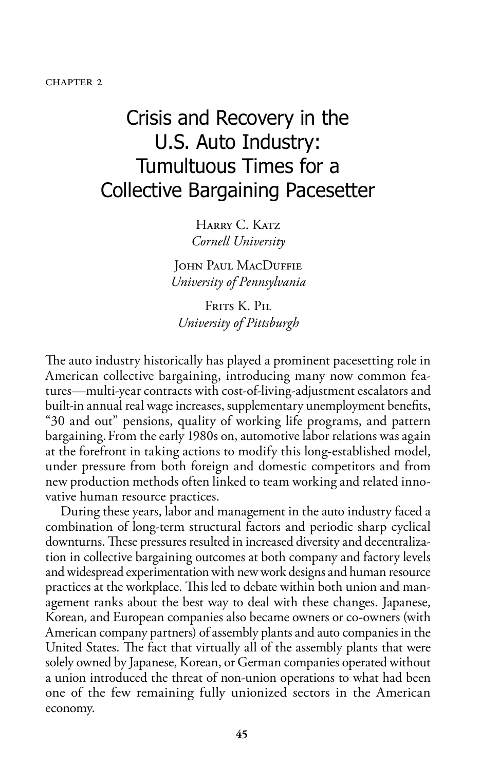#### **CHAPTER 2**

# Crisis and Recovery in the U.S. Auto Industry: Tumultuous Times for a Collective Bargaining Pacesetter

HARRY C. KATZ *Cornell University*

JOHN PAUL MACDUFFIE *University of Pennsylvania*

Frits K. Pil. *University of Pittsburgh*

The auto industry historically has played a prominent pacesetting role in American collective bargaining, introducing many now common features—multi-year contracts with cost-of-living-adjustment escalators and built-in annual real wage increases, supplementary unemployment benefits, "30 and out" pensions, quality of working life programs, and pattern bargaining.From the early 1980s on, automotive labor relations was again at the forefront in taking actions to modify this long-established model, under pressure from both foreign and domestic competitors and from new production methods often linked to team working and related innovative human resource practices.

During these years, labor and management in the auto industry faced a combination of long-term structural factors and periodic sharp cyclical downturns. These pressures resulted in increased diversity and decentralization in collective bargaining outcomes at both company and factory levels and widespread experimentation with new work designs and human resource practices at the workplace. This led to debate within both union and management ranks about the best way to deal with these changes. Japanese, Korean, and European companies also became owners or co-owners (with American company partners) of assembly plants and auto companies in the United States. The fact that virtually all of the assembly plants that were solely owned by Japanese, Korean, or German companies operated without a union introduced the threat of non-union operations to what had been one of the few remaining fully unionized sectors in the American economy.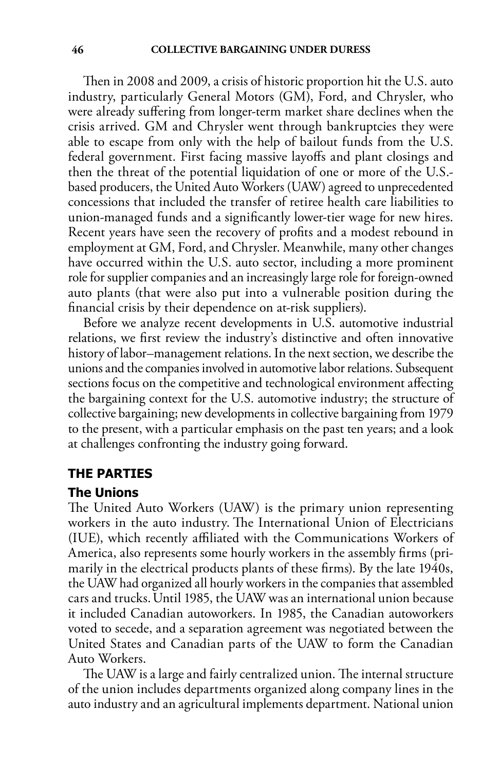Then in 2008 and 2009, a crisis of historic proportion hit the U.S. auto industry, particularly General Motors (GM), Ford, and Chrysler, who were already suffering from longer-term market share declines when the crisis arrived. GM and Chrysler went through bankruptcies they were able to escape from only with the help of bailout funds from the U.S. federal government. First facing massive layoffs and plant closings and then the threat of the potential liquidation of one or more of the U.S. based producers, the United Auto Workers (UAW) agreed to unprecedented concessions that included the transfer of retiree health care liabilities to union-managed funds and a significantly lower-tier wage for new hires. Recent years have seen the recovery of profits and a modest rebound in employment at GM, Ford, and Chrysler. Meanwhile, many other changes have occurred within the U.S. auto sector, including a more prominent role for supplier companies and an increasingly large role for foreign-owned auto plants (that were also put into a vulnerable position during the financial crisis by their dependence on at-risk suppliers).

Before we analyze recent developments in U.S. automotive industrial relations, we first review the industry's distinctive and often innovative history of labor–management relations. In the next section, we describe the unions and the companies involved in automotive labor relations. Subsequent sections focus on the competitive and technological environment affecting the bargaining context for the U.S. automotive industry; the structure of collective bargaining; new developments in collective bargaining from 1979 to the present, with a particular emphasis on the past ten years; and a look at challenges confronting the industry going forward.

#### **The Parties**

#### **The Unions**

The United Auto Workers (UAW) is the primary union representing workers in the auto industry. The International Union of Electricians (IUE), which recently affiliated with the Communications Workers of America, also represents some hourly workers in the assembly firms (primarily in the electrical products plants of these firms). By the late 1940s, the UAW had organized all hourly workers in the companies that assembled cars and trucks.Until 1985, the UAW was an international union because it included Canadian autoworkers. In 1985, the Canadian autoworkers voted to secede, and a separation agreement was negotiated between the United States and Canadian parts of the UAW to form the Canadian Auto Workers.

The UAW is a large and fairly centralized union. The internal structure of the union includes departments organized along company lines in the auto industry and an agricultural implements department. National union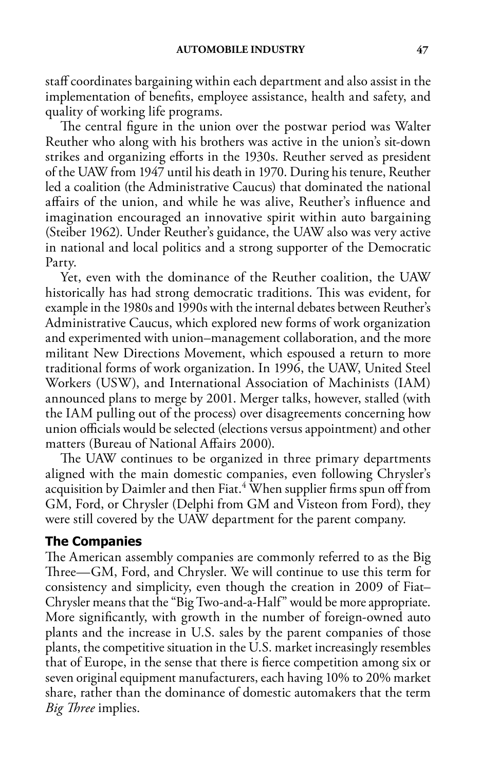staff coordinates bargaining within each department and also assist in the implementation of benefits, employee assistance, health and safety, and quality of working life programs.

The central figure in the union over the postwar period was Walter Reuther who along with his brothers was active in the union's sit-down strikes and organizing efforts in the 1930s. Reuther served as president of the UAW from 1947 until his death in 1970. During his tenure, Reuther led a coalition (the Administrative Caucus) that dominated the national affairs of the union, and while he was alive, Reuther's influence and imagination encouraged an innovative spirit within auto bargaining (Steiber 1962). Under Reuther's guidance, the UAW also was very active in national and local politics and a strong supporter of the Democratic Party.

Yet, even with the dominance of the Reuther coalition, the UAW historically has had strong democratic traditions. This was evident, for example in the 1980s and 1990s with the internal debates between Reuther's Administrative Caucus, which explored new forms of work organization and experimented with union–management collaboration, and the more militant New Directions Movement, which espoused a return to more traditional forms of work organization. In 1996, the UAW, United Steel Workers (USW), and International Association of Machinists (IAM) announced plans to merge by 2001. Merger talks, however, stalled (with the IAM pulling out of the process) over disagreements concerning how union officials would be selected (elections versus appointment) and other matters (Bureau of National Affairs 2000).

The UAW continues to be organized in three primary departments aligned with the main domestic companies, even following Chrysler's acquisition by Daimler and then Fiat.<sup>4</sup> When supplier firms spun off from GM, Ford, or Chrysler (Delphi from GM and Visteon from Ford), they were still covered by the UAW department for the parent company.

#### **The Companies**

The American assembly companies are commonly referred to as the Big Three—GM, Ford, and Chrysler. We will continue to use this term for consistency and simplicity, even though the creation in 2009 of Fiat– Chrysler means that the "Big Two-and-a-Half" would be more appropriate. More significantly, with growth in the number of foreign-owned auto plants and the increase in U.S. sales by the parent companies of those plants, the competitive situation in the U.S. market increasingly resembles that of Europe, in the sense that there is fierce competition among six or seven original equipment manufacturers, each having 10% to 20% market share, rather than the dominance of domestic automakers that the term *Big Three* implies.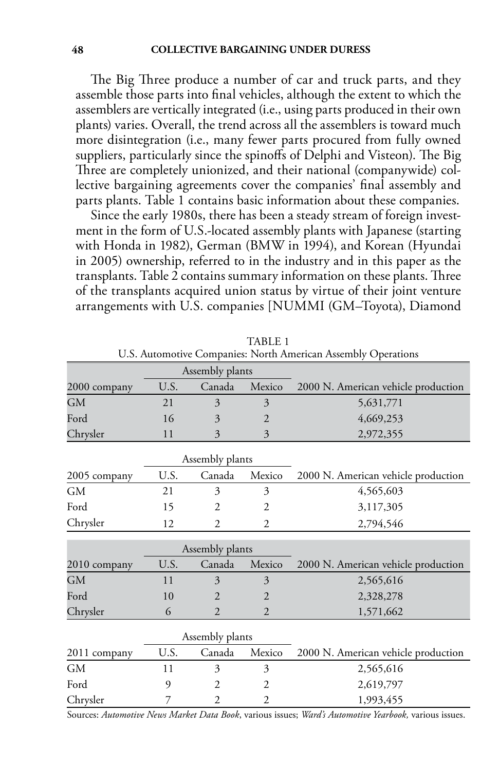The Big Three produce a number of car and truck parts, and they assemble those parts into final vehicles, although the extent to which the assemblers are vertically integrated (i.e., using parts produced in their own plants) varies. Overall, the trend across all the assemblers is toward much more disintegration (i.e., many fewer parts procured from fully owned suppliers, particularly since the spinoffs of Delphi and Visteon). The Big Three are completely unionized, and their national (companywide) collective bargaining agreements cover the companies' final assembly and parts plants. Table 1 contains basic information about these companies.

Since the early 1980s, there has been a steady stream of foreign investment in the form of U.S.-located assembly plants with Japanese (starting with Honda in 1982), German (BMW in 1994), and Korean (Hyundai in 2005) ownership, referred to in the industry and in this paper as the transplants. Table 2 contains summary information on these plants. Three of the transplants acquired union status by virtue of their joint venture arrangements with U.S. companies [NUMMI (GM–Toyota), Diamond

|              |                 | Assembly plants |                |                                     |
|--------------|-----------------|-----------------|----------------|-------------------------------------|
| 2000 company | U.S.            | Canada          | Mexico         | 2000 N. American vehicle production |
|              |                 |                 |                |                                     |
| GМ           | 21              | 3               | 3              | 5,631,771                           |
| Ford         | 16              | 3               | $\overline{2}$ | 4,669,253                           |
| Chrysler     | 11              | 3               | 3              | 2,972,355                           |
|              |                 | Assembly plants |                |                                     |
| 2005 company | U.S.            | Canada          | Mexico         | 2000 N. American vehicle production |
| GM           | 21              | 3               | 3              | 4,565,603                           |
| Ford         | 15              | $\overline{2}$  | 2              | 3,117,305                           |
| Chrysler     | 12              | $\overline{c}$  | $\overline{c}$ | 2,794,546                           |
|              |                 | Assembly plants |                |                                     |
| 2010 company | U.S.            | Canada          | Mexico         | 2000 N. American vehicle production |
| GМ           | 11              | 3               | 3              | 2,565,616                           |
| Ford         | 10              | $\overline{2}$  | $\overline{2}$ | 2,328,278                           |
| Chrysler     | 6               | $\overline{2}$  | $\overline{2}$ | 1,571,662                           |
|              | Assembly plants |                 |                |                                     |
| 2011 company | U.S.            | Canada          | Mexico         | 2000 N. American vehicle production |
| <b>GM</b>    | 11              | 3               | 3              | 2,565,616                           |
| Ford         | 9               | $\overline{2}$  | 2              | 2,619,797                           |
| Chrysler     | 7               | $\overline{2}$  | 2              | 1,993,455                           |

TABLE 1 U.S. Automotive Companies: North American Assembly Operations

Sources: *Automotive News Market Data Book*, various issues; *Ward's Automotive Yearbook,* various issues.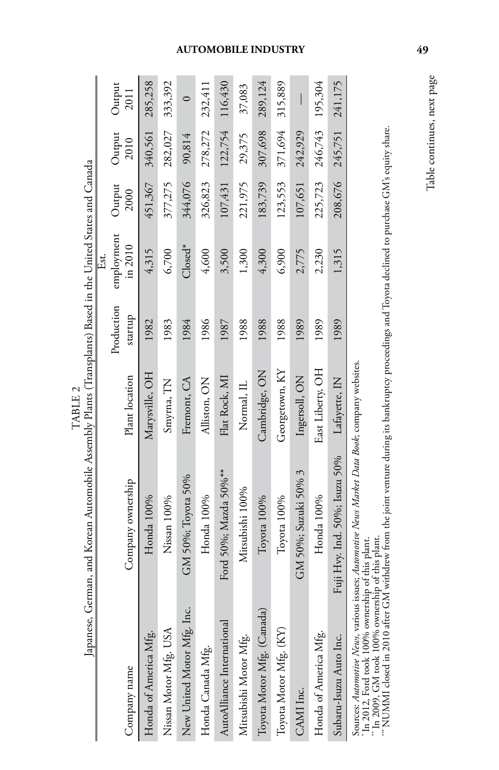| $\frac{1}{2}$  | I                                                                                                     |
|----------------|-------------------------------------------------------------------------------------------------------|
| l              | ֧֧֦֧֦֧֦֧֦֧֖֖֖֧֚֚֚֚֚֝֝֝֬ <u>֚</u><br>֧֪֧֝֝                                                             |
| <br> <br> <br> | ļ                                                                                                     |
|                | i<br>.<br>;<br>;<br>;<br>.<br>.<br>.<br><br>i<br>Ĭ<br>$\ddot{\phantom{a}}$<br>I<br>$\frac{1}{2}$<br>J |

|                            |                                                                                               |                  |                       | Est.                  |                |                         |                |
|----------------------------|-----------------------------------------------------------------------------------------------|------------------|-----------------------|-----------------------|----------------|-------------------------|----------------|
| Company name               | Company ownership                                                                             | Plant location   | Production<br>startup | employment<br>in 2010 | Output<br>2000 | Output<br>2010          | Output<br>2011 |
| Honda of America Mfg.      | Honda 100%                                                                                    | Marysville, OH   | 1982                  | 4,315                 | 451,367        | 340,561 285,258         |                |
| Nissan Motor Mfg. USA      | Nissan 100%                                                                                   | Smyrna, TN       | 1983                  | 6,700                 | 377,275        | 282,027                 | 333,392        |
| New United Motor Mfg. Inc. | GM 50%; Toyota 50%                                                                            | Fremont, CA      | 1984                  | $Closed^*$            | 344,076        | 90,814                  | $\circ$        |
| Honda Canada Mfg.          | Honda 100%                                                                                    | Alliston, ON     | 1986                  | 4,600                 | 326,823        | 278,272                 | 232,411        |
| AutoAlliance International | Ford 50%; Mazda 50%**                                                                         | Flat Rock, MI    | 1987                  | 3,500                 | 107,431        | 122,754                 | 116,430        |
| Mitsubishi Motor Mfg.      | Mitsubishi 100%                                                                               | Normal, IL       | 1988                  | 1,300                 | 221,975        | 29,375                  | 37,083         |
| Toyota Motor Mfg. (Canada) | Toyota 100%                                                                                   | Cambridge, ON    | 1988                  | 4,300                 | 183,739        | 307,698                 | 289,124        |
| Toyota Motor Mfg. (KY)     | Toyota 100%                                                                                   | Georgetown, KY   | 1988                  | 6,900                 | 123,553        | 371,694 315,889         |                |
| CAMI Inc.                  | GM 50%; Suzuki 50% 3                                                                          | Ingersoll, ON    | 1989                  | 2,775                 | 107,651        | 242,929                 |                |
| Honda of America Mfg.      | Honda 100%                                                                                    | East Liberty, OH | 1989                  | 2,230                 | 225,723        | 246,743                 | 195,304        |
| Subaru-Isuzu Auto Inc.     | Fuji Hvy. Ind. 50%; Isuzu 50% Lafayette, IN                                                   |                  | 1989                  | 1,315                 |                | 208,676 245,751 241,175 |                |
|                            | Sources: Automotive News, various issues; Automotive News Market Data Book; company websites. |                  |                       |                       |                |                         |                |

Sources: *Automotive News*, various issues; *Automotive News Market Data Book*; company websites.

\* In 2012, Ford took 100% ownership of this plant. \*\* In 2009, GM took 100% ownership of this plant.

' In 2012, Ford took 100% ownership of this plant.<br>" In 2012, Ford took 100% ownership of this plant.<br>" NUMMI closed in 2010 after GM withdrew from the joint venture during its bankruptcy proceedings and Toyota declined to \*\*\* NUMMI closed in 2010 after GM withdrew from the joint venture during its bankruptcy proceedings and Toyota declined to purchase GM's equity share.

# **automobile industry 49**

Table continues, next page Table continues, next page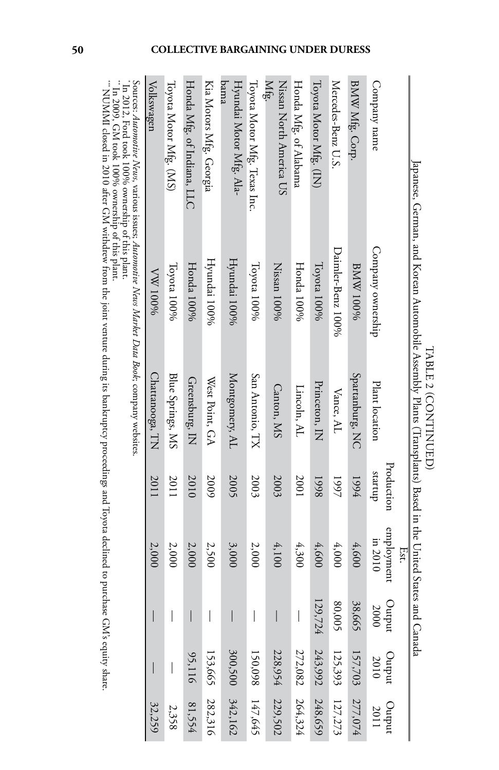| $50 - 20$<br>١                                                                                                                                                                                                                 |                                                                       |
|--------------------------------------------------------------------------------------------------------------------------------------------------------------------------------------------------------------------------------|-----------------------------------------------------------------------|
|                                                                                                                                                                                                                                |                                                                       |
|                                                                                                                                                                                                                                |                                                                       |
| contractive contractive to the contractive of the contractive of the contractive of the contractive of the contractive of the contractive of the contractive of the contractive of the contractive of the contract of the cont |                                                                       |
|                                                                                                                                                                                                                                | ֧֖֧֧֧֧֚֚֚֡֓֓֝֬֓֝֬֓֓֓֝֓֝֓֝֬<br>֧֖֖֧֧֧֚֚֚֚֚֚֚֚֚֚֚֚֚֚֚֚֚֚֚֚֚֚֚֚֚֚֚֚֝֝֬֝֬ |
| versite in the second the second                                                                                                                                                                                               | j                                                                     |
|                                                                                                                                                                                                                                | Ì,<br>j                                                               |
| sheeting control to control the non-                                                                                                                                                                                           |                                                                       |
|                                                                                                                                                                                                                                |                                                                       |
|                                                                                                                                                                                                                                |                                                                       |
|                                                                                                                                                                                                                                |                                                                       |
| ١                                                                                                                                                                                                                              |                                                                       |
|                                                                                                                                                                                                                                |                                                                       |

| Company name                                                                                  | Company ownership | Plant location   | Production<br>dnuras | employment<br>in 2010<br>Ėst. | putput<br>2000                        | $O$ urput   | $rac{100}{2011}$ |
|-----------------------------------------------------------------------------------------------|-------------------|------------------|----------------------|-------------------------------|---------------------------------------|-------------|------------------|
| BMW Mfg. Corp.                                                                                | <b>8MW 100%</b>   | Spartanburg, NC  | 1994                 | 4,600                         | 38,665                                | 157,703     | 277,074          |
| Mercedes-Benz U.S.                                                                            | Daimler-Benz 100% | Vance, AL        | 1997                 | 4,000                         | 80,005                                | 125,393     | 127,273          |
| Toyota Motor Mfg. (IN)                                                                        | Toyota 100%       | Princeton, IN    | 8661                 | 4,600                         | 129,724                               | 243,992     | 248,659          |
| Honda Mfg. of Alabama                                                                         | Honda 100%        | Lincoln, AL      | 2001                 | 4,300                         | $\bigg $                              | $272,\!082$ | 264,324          |
| Mfg.<br>Nissan North America US                                                               | Nissan 100%       | Canton, MS       | 2003                 | 4,100                         |                                       | 228,954     | 229,502          |
| Toyota Motor Mfg. Texas Inc.                                                                  | Toyota 100%       | San Antonio, TX  | 2003                 | 2,000                         | $\overline{\phantom{a}}$              | 150,098     | 147,645          |
| Hyundai Motor Mfg. Ala-<br>bama                                                               | Hyundai 100%      | Montgomery, AL   | 2005                 | 3,000                         |                                       | 300,500     | 342,162          |
| Kia Motors Mfg. Georgia                                                                       | Hyundai 100%      | West Point, GA   | 2009                 | 2,500                         | $\overline{\phantom{a}}$              | 153,665     | 282,316          |
| Honda Mfg. of Indiana, LLC                                                                    | Honda 100%        | Greensburg, IN   | 2010                 | 2,000                         |                                       | 95,116      | 81,554           |
| Toyota Motor Mfg. (MS)                                                                        | Toyota 100%       | Blue Springs, MS | 2011                 | 2,000                         | $\begin{array}{c} \hline \end{array}$ |             | 2,358            |
| Volkswagen                                                                                    | <b>VW 100%</b>    | Chattanooga, TN  | 2011                 | 2,000                         |                                       |             | 32,259           |
| Sources: Automotive News, various issues: Automotive News Market Data Book; company websites. |                   |                  |                      |                               |                                       |             |                  |

\* In 2012, Ford took 100% ownership of this plant.

\*\* In 2009, GM took 100% ownership of this plant.

' In 2012, Ford took 100% ownership of this plant.<br>" In 2009, GM took 100% ownership of this plant.<br>""NUMMI closed in 2010 after GM withdrew from the joint venture during its bankruptcy proceedings and Toyota declined to p  $^{*}_{\rm NUNM}$  in 2010 after GM  $^{*}_{\rm N}$  bank of the from the joint venture during its bankruptcy proceedings and Toyota declined to purchase GM's equity share.  $^{*}_{\rm NUNM}$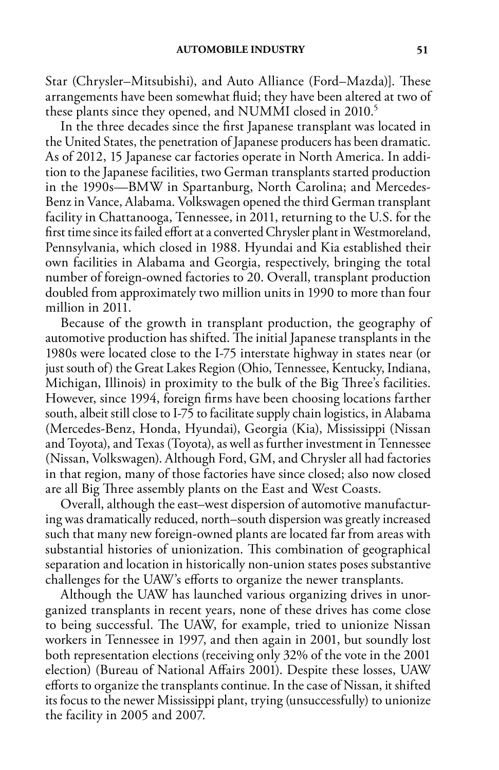Star (Chrysler–Mitsubishi), and Auto Alliance (Ford–Mazda)]. These arrangements have been somewhat fluid; they have been altered at two of these plants since they opened, and NUMMI closed in 2010.<sup>5</sup>

In the three decades since the first Japanese transplant was located in the United States, the penetration of Japanese producers has been dramatic. As of 2012, 15 Japanese car factories operate in North America. In addition to the Japanese facilities, two German transplants started production in the 1990s—BMW in Spartanburg, North Carolina; and Mercedes-Benz in Vance, Alabama. Volkswagen opened the third German transplant facility in Chattanooga, Tennessee, in 2011, returning to the U.S. for the first time since its failed effort at a converted Chrysler plant in Westmoreland, Pennsylvania, which closed in 1988. Hyundai and Kia established their own facilities in Alabama and Georgia, respectively, bringing the total number of foreign-owned factories to 20. Overall, transplant production doubled from approximately two million units in 1990 to more than four million in 2011.

Because of the growth in transplant production, the geography of automotive production has shifted. The initial Japanese transplants in the 1980s were located close to the I-75 interstate highway in states near (or just south of) the Great Lakes Region (Ohio, Tennessee, Kentucky, Indiana, Michigan, Illinois) in proximity to the bulk of the Big Three's facilities. However, since 1994, foreign firms have been choosing locations farther south, albeit still close to I-75 to facilitate supply chain logistics, in Alabama (Mercedes-Benz, Honda, Hyundai), Georgia (Kia), Mississippi (Nissan and Toyota), and Texas (Toyota), as well as further investment in Tennessee (Nissan, Volkswagen). Although Ford, GM, and Chrysler all had factories in that region, many of those factories have since closed; also now closed are all Big Three assembly plants on the East and West Coasts.

Overall, although the east–west dispersion of automotive manufacturing was dramatically reduced, north–south dispersion was greatly increased such that many new foreign-owned plants are located far from areas with substantial histories of unionization. This combination of geographical separation and location in historically non-union states poses substantive challenges for the UAW's efforts to organize the newer transplants.

Although the UAW has launched various organizing drives in unorganized transplants in recent years, none of these drives has come close to being successful. The UAW, for example, tried to unionize Nissan workers in Tennessee in 1997, and then again in 2001, but soundly lost both representation elections (receiving only 32% of the vote in the 2001 election) (Bureau of National Affairs 2001). Despite these losses, UAW efforts to organize the transplants continue. In the case of Nissan, it shifted its focus to the newer Mississippi plant, trying (unsuccessfully) to unionize the facility in 2005 and 2007.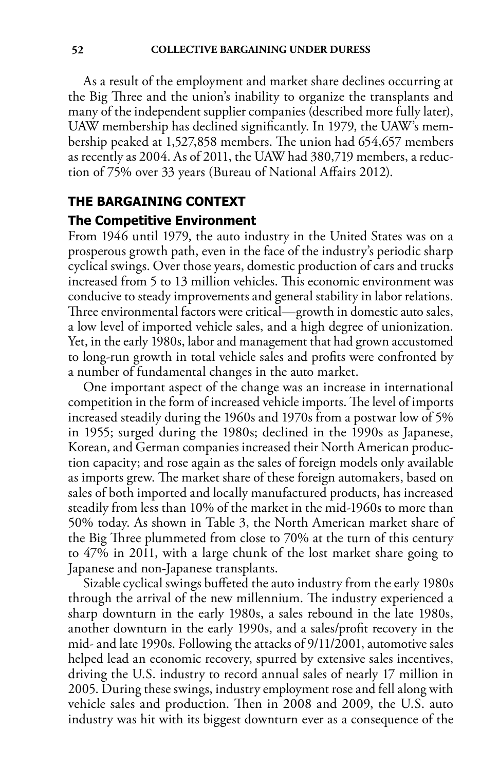As a result of the employment and market share declines occurring at the Big Three and the union's inability to organize the transplants and many of the independent supplier companies (described more fully later), UAW membership has declined significantly. In 1979, the UAW's membership peaked at 1,527,858 members. The union had 654,657 members as recently as 2004. As of 2011, the UAW had 380,719 members, a reduction of 75% over 33 years (Bureau of National Affairs 2012).

## **The Bargaining Context**

#### **The Competitive Environment**

From 1946 until 1979, the auto industry in the United States was on a prosperous growth path, even in the face of the industry's periodic sharp cyclical swings. Over those years, domestic production of cars and trucks increased from 5 to 13 million vehicles. This economic environment was conducive to steady improvements and general stability in labor relations. Three environmental factors were critical—growth in domestic auto sales, a low level of imported vehicle sales, and a high degree of unionization. Yet, in the early 1980s, labor and management that had grown accustomed to long-run growth in total vehicle sales and profits were confronted by a number of fundamental changes in the auto market.

One important aspect of the change was an increase in international competition in the form of increased vehicle imports. The level of imports increased steadily during the 1960s and 1970s from a postwar low of 5% in 1955; surged during the 1980s; declined in the 1990s as Japanese, Korean, and German companies increased their North American production capacity; and rose again as the sales of foreign models only available as imports grew. The market share of these foreign automakers, based on sales of both imported and locally manufactured products, has increased steadily from less than 10% of the market in the mid-1960s to more than 50% today. As shown in Table 3, the North American market share of the Big Three plummeted from close to 70% at the turn of this century to 47% in 2011, with a large chunk of the lost market share going to Japanese and non-Japanese transplants.

Sizable cyclical swings buffeted the auto industry from the early 1980s through the arrival of the new millennium. The industry experienced a sharp downturn in the early 1980s, a sales rebound in the late 1980s, another downturn in the early 1990s, and a sales/profit recovery in the mid- and late 1990s. Following the attacks of 9/11/2001, automotive sales helped lead an economic recovery, spurred by extensive sales incentives, driving the U.S. industry to record annual sales of nearly 17 million in 2005. During these swings, industry employment rose and fell along with vehicle sales and production. Then in 2008 and 2009, the U.S. auto industry was hit with its biggest downturn ever as a consequence of the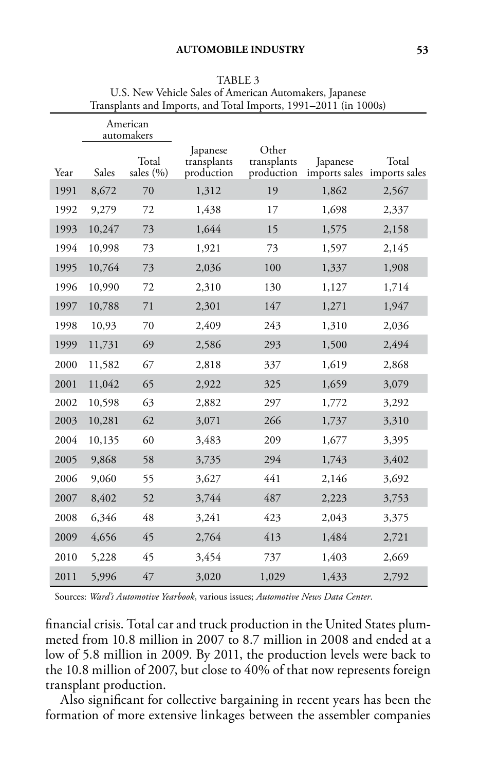|      |        | American<br>automakers |                                       |                                    |          |                                      |
|------|--------|------------------------|---------------------------------------|------------------------------------|----------|--------------------------------------|
| Year | Sales  | Total<br>sales (%)     | Japanese<br>transplants<br>production | Other<br>transplants<br>production | Japanese | Total<br>imports sales imports sales |
| 1991 | 8,672  | 70                     | 1,312                                 | 19                                 | 1,862    | 2,567                                |
| 1992 | 9,279  | 72                     | 1,438                                 | 17                                 | 1,698    | 2,337                                |
| 1993 | 10,247 | 73                     | 1,644                                 | 15                                 | 1,575    | 2,158                                |
| 1994 | 10,998 | 73                     | 1,921                                 | 73                                 | 1,597    | 2,145                                |
| 1995 | 10,764 | 73                     | 2,036                                 | 100                                | 1,337    | 1,908                                |
| 1996 | 10,990 | 72                     | 2,310                                 | 130                                | 1,127    | 1,714                                |
| 1997 | 10,788 | 71                     | 2,301                                 | 147                                | 1,271    | 1,947                                |
| 1998 | 10,93  | 70                     | 2,409                                 | 243                                | 1,310    | 2,036                                |
| 1999 | 11,731 | 69                     | 2,586                                 | 293                                | 1,500    | 2,494                                |
| 2000 | 11,582 | 67                     | 2,818                                 | 337                                | 1,619    | 2,868                                |
| 2001 | 11,042 | 65                     | 2,922                                 | 325                                | 1,659    | 3,079                                |
| 2002 | 10,598 | 63                     | 2,882                                 | 297                                | 1,772    | 3,292                                |
| 2003 | 10,281 | 62                     | 3,071                                 | 266                                | 1,737    | 3,310                                |
| 2004 | 10,135 | 60                     | 3,483                                 | 209                                | 1,677    | 3,395                                |
| 2005 | 9,868  | 58                     | 3,735                                 | 294                                | 1,743    | 3,402                                |
| 2006 | 9,060  | 55                     | 3,627                                 | 441                                | 2,146    | 3,692                                |
| 2007 | 8,402  | 52                     | 3,744                                 | 487                                | 2,223    | 3,753                                |
| 2008 | 6,346  | 48                     | 3,241                                 | 423                                | 2,043    | 3,375                                |
| 2009 | 4,656  | 45                     | 2,764                                 | 413                                | 1,484    | 2,721                                |
| 2010 | 5,228  | 45                     | 3,454                                 | 737                                | 1,403    | 2,669                                |
| 2011 | 5,996  | 47                     | 3,020                                 | 1,029                              | 1,433    | 2,792                                |

TABLE 3 U.S. New Vehicle Sales of American Automakers, Japanese Transplants and Imports, and Total Imports, 1991–2011 (in 1000s)

Sources: *Ward's Automotive Yearbook*, various issues; *Automotive News Data Center*.

financial crisis. Total car and truck production in the United States plummeted from 10.8 million in 2007 to 8.7 million in 2008 and ended at a low of 5.8 million in 2009. By 2011, the production levels were back to the 10.8 million of 2007, but close to 40% of that now represents foreign transplant production.

Also significant for collective bargaining in recent years has been the formation of more extensive linkages between the assembler companies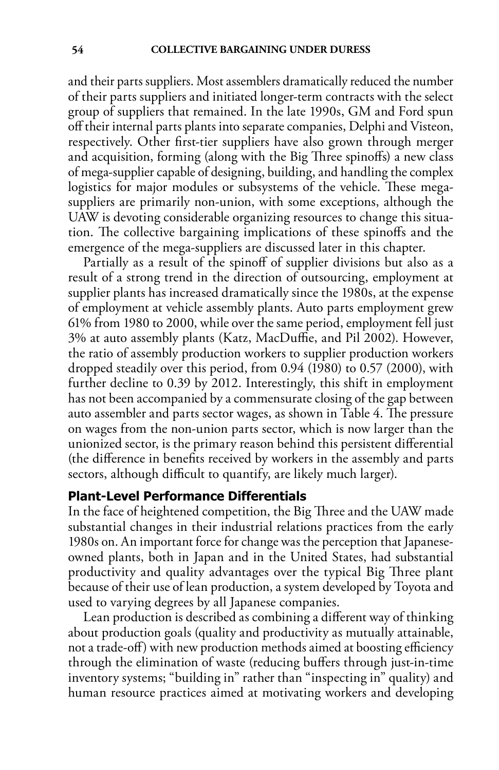and their parts suppliers. Most assemblers dramatically reduced the number of their parts suppliers and initiated longer-term contracts with the select group of suppliers that remained. In the late 1990s, GM and Ford spun off their internal parts plants into separate companies, Delphi and Visteon, respectively. Other first-tier suppliers have also grown through merger and acquisition, forming (along with the Big Three spinoffs) a new class of mega-supplier capable of designing, building, and handling the complex logistics for major modules or subsystems of the vehicle. These megasuppliers are primarily non-union, with some exceptions, although the UAW is devoting considerable organizing resources to change this situation. The collective bargaining implications of these spinoffs and the emergence of the mega-suppliers are discussed later in this chapter.

Partially as a result of the spinoff of supplier divisions but also as a result of a strong trend in the direction of outsourcing, employment at supplier plants has increased dramatically since the 1980s, at the expense of employment at vehicle assembly plants. Auto parts employment grew 61% from 1980 to 2000, while over the same period, employment fell just 3% at auto assembly plants (Katz, MacDuffie, and Pil 2002). However, the ratio of assembly production workers to supplier production workers dropped steadily over this period, from 0.94 (1980) to 0.57 (2000), with further decline to 0.39 by 2012. Interestingly, this shift in employment has not been accompanied by a commensurate closing of the gap between auto assembler and parts sector wages, as shown in Table 4. The pressure on wages from the non-union parts sector, which is now larger than the unionized sector, is the primary reason behind this persistent differential (the difference in benefits received by workers in the assembly and parts sectors, although difficult to quantify, are likely much larger).

### **Plant-Level Performance Differentials**

In the face of heightened competition, the Big Three and the UAW made substantial changes in their industrial relations practices from the early 1980s on. An important force for change was the perception that Japaneseowned plants, both in Japan and in the United States, had substantial productivity and quality advantages over the typical Big Three plant because of their use of lean production, a system developed by Toyota and used to varying degrees by all Japanese companies.

Lean production is described as combining a different way of thinking about production goals (quality and productivity as mutually attainable, not a trade-off) with new production methods aimed at boosting efficiency through the elimination of waste (reducing buffers through just-in-time inventory systems; "building in" rather than "inspecting in" quality) and human resource practices aimed at motivating workers and developing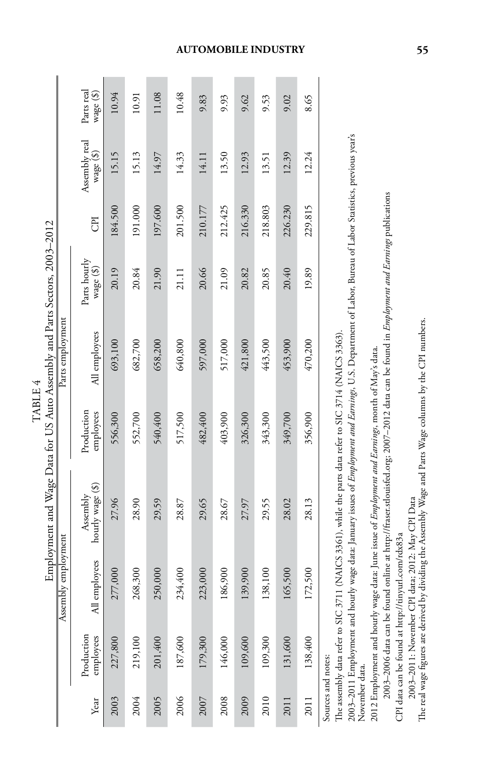|                    |                         |                     | Employment and Wage Data for US Auto Assembly and Parts Sectors, 2003–2012 | TABLE 4                 |                  |                             |         |                            |                         |
|--------------------|-------------------------|---------------------|----------------------------------------------------------------------------|-------------------------|------------------|-----------------------------|---------|----------------------------|-------------------------|
|                    |                         | Assembly employment |                                                                            |                         | Parts employment |                             |         |                            |                         |
| Year               | Production<br>employees | All employees       | hourly wage (\$)<br>Assembly                                               | Production<br>employees | All employees    | Parts hourly<br>wage $(\$)$ | E       | Assembly real<br>wage (\$) | Parts real<br>wage (\$) |
| 2003               | 227,800                 | 277,000             | 27.96                                                                      | 556,300                 | 693,100          | 20.19                       | 184.500 | 15.15                      | 10.94                   |
| 2004               | 219,100                 | 268,300             | 28.90                                                                      | 552,700                 | 682,700          | 20.84                       | 191.000 | 15.13                      | 10.91                   |
| 2005               | 201,400                 | 250,000             | 29.59                                                                      | 540,400                 | 658,200          | 21.90                       | 197.600 | 14.97                      | 11.08                   |
| 2006               | 187,600                 | 234,400             | 28.87                                                                      | 517,500                 | 640,800          | 21.11                       | 201.500 | 14.33                      | 10.48                   |
| 2007               | 179,300                 | 223,000             | 29.65                                                                      | 482,400                 | 597,000          | 20.66                       | 210.177 | 14.11                      | 9.83                    |
| 2008               | 146,000                 | 186,900             | 28.67                                                                      | 403,900                 | 517,000          | 21.09                       | 212.425 | 13.50                      | 9.93                    |
| 2009               | .09,600                 | 139,900             | 27.97                                                                      | 326,300                 | 421,800          | 20.82                       | 216.330 | 12.93                      | 9.62                    |
| 2010               | 109,300                 | 138,100             | 29.55                                                                      | 343,300                 | 443,500          | 20.85                       | 218.803 | 13.51                      | 9.53                    |
| 2011               | 131,600                 | 165,500             | 28.02                                                                      | 349,700                 | 453,900          | 20.40                       | 226.230 | 12.39                      | 9.02                    |
| 2011               | .38,400                 | 172,500             | 28.13                                                                      | 356,900                 | 470,200          | 19.89                       | 229.815 | 12.24                      | 8.65                    |
| Sources and notes: |                         |                     |                                                                            |                         |                  |                             |         |                            |                         |

The assembly data refer to SIC 3711 (NAICS 3361), while the parts data refer to SIC 3714 (NAICS 3363). The assembly data refer to SIC 3711 (NAICS 3361), while the parts data refer to SIC 3714 (NAICS 3363). 2003–2011 Employment and hourly wage data: January issues of *Employment and Earnings*, U.S. Department of Labor, Bureau of Labor Statistics, previous year's 2003–2011 Employment and hourly wage data: January issues of *Employment and Earnings*, U.S. Department of Labor, Bureau of Labor Statistics, previous year's November data. November data.

2012 Employment and hourly wage data: June issue of Employment and Earnings, month of May's data. 2012 Employment and hourly wage data: June issue of *Employment and Earnings*, month of May's data.

2003–2006 data can be found online at http://fraser.stlouisfed.org. 2007–2012 data can be found in *Employment and Earnings* publications 2003–2006 data can be found online at http://fraser.stlouisfed.org; 2007–2012 data can be found in *Employment and Earnings* publications CPI data can be found at http://tinyurl.com/rdx83a CPI data can be found at http://tinyurl.com/rdx83a

2003-2011: November CPI data; 2012: May CPI Data 2003–2011: November CPI data; 2012: May CPI Data

The real wage figures are derived by dividing the Assembly Wage and Parts Wage columns by the CPI numbers. The real wage figures are derived by dividing the Assembly Wage and Parts Wage columns by the CPI numbers.

#### **automobile industry 55**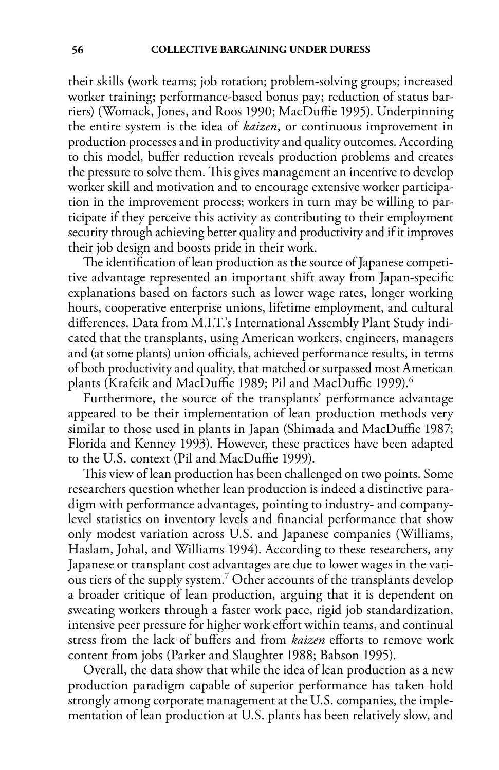their skills (work teams; job rotation; problem-solving groups; increased worker training; performance-based bonus pay; reduction of status barriers) (Womack, Jones, and Roos 1990; MacDuffie 1995). Underpinning the entire system is the idea of *kaizen*, or continuous improvement in production processes and in productivity and quality outcomes. According to this model, buffer reduction reveals production problems and creates the pressure to solve them. This gives management an incentive to develop worker skill and motivation and to encourage extensive worker participation in the improvement process; workers in turn may be willing to participate if they perceive this activity as contributing to their employment security through achieving better quality and productivity and if it improves their job design and boosts pride in their work.

The identification of lean production as the source of Japanese competitive advantage represented an important shift away from Japan-specific explanations based on factors such as lower wage rates, longer working hours, cooperative enterprise unions, lifetime employment, and cultural differences. Data from M.I.T.'s International Assembly Plant Study indicated that the transplants, using American workers, engineers, managers and (at some plants) union officials, achieved performance results, in terms of both productivity and quality, that matched or surpassed most American plants (Krafcik and MacDuffie 1989; Pil and MacDuffie 1999).<sup>6</sup>

Furthermore, the source of the transplants' performance advantage appeared to be their implementation of lean production methods very similar to those used in plants in Japan (Shimada and MacDuffie 1987; Florida and Kenney 1993). However, these practices have been adapted to the U.S. context (Pil and MacDuffie 1999).

This view of lean production has been challenged on two points. Some researchers question whether lean production is indeed a distinctive paradigm with performance advantages, pointing to industry- and companylevel statistics on inventory levels and financial performance that show only modest variation across U.S. and Japanese companies (Williams, Haslam, Johal, and Williams 1994). According to these researchers, any Japanese or transplant cost advantages are due to lower wages in the various tiers of the supply system.7 Other accounts of the transplants develop a broader critique of lean production, arguing that it is dependent on sweating workers through a faster work pace, rigid job standardization, intensive peer pressure for higher work effort within teams, and continual stress from the lack of buffers and from *kaizen* efforts to remove work content from jobs (Parker and Slaughter 1988; Babson 1995).

Overall, the data show that while the idea of lean production as a new production paradigm capable of superior performance has taken hold strongly among corporate management at the U.S. companies, the implementation of lean production at U.S. plants has been relatively slow, and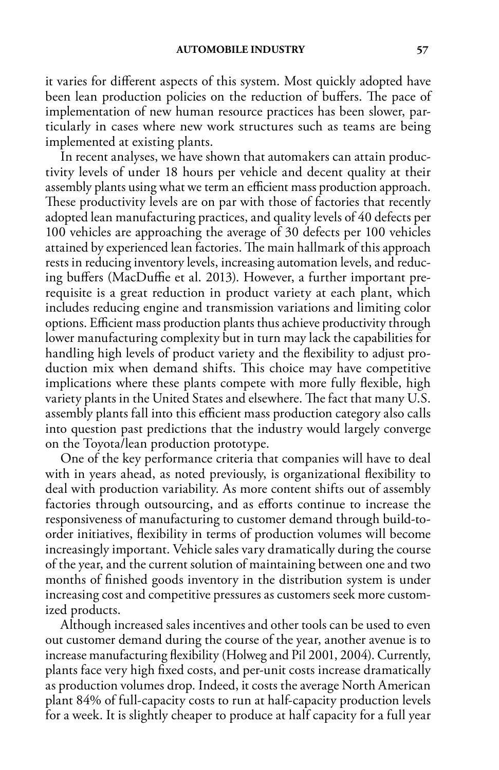it varies for different aspects of this system. Most quickly adopted have been lean production policies on the reduction of buffers. The pace of implementation of new human resource practices has been slower, particularly in cases where new work structures such as teams are being implemented at existing plants.

In recent analyses, we have shown that automakers can attain productivity levels of under 18 hours per vehicle and decent quality at their assembly plants using what we term an efficient mass production approach. These productivity levels are on par with those of factories that recently adopted lean manufacturing practices, and quality levels of 40 defects per 100 vehicles are approaching the average of 30 defects per 100 vehicles attained by experienced lean factories. The main hallmark of this approach rests in reducing inventory levels, increasing automation levels, and reducing buffers (MacDuffie et al. 2013). However, a further important prerequisite is a great reduction in product variety at each plant, which includes reducing engine and transmission variations and limiting color options. Efficient mass production plants thus achieve productivity through lower manufacturing complexity but in turn may lack the capabilities for handling high levels of product variety and the flexibility to adjust production mix when demand shifts. This choice may have competitive implications where these plants compete with more fully flexible, high variety plants in the United States and elsewhere. The fact that many U.S. assembly plants fall into this efficient mass production category also calls into question past predictions that the industry would largely converge on the Toyota/lean production prototype.

One of the key performance criteria that companies will have to deal with in years ahead, as noted previously, is organizational flexibility to deal with production variability. As more content shifts out of assembly factories through outsourcing, and as efforts continue to increase the responsiveness of manufacturing to customer demand through build-toorder initiatives, flexibility in terms of production volumes will become increasingly important. Vehicle sales vary dramatically during the course of the year, and the current solution of maintaining between one and two months of finished goods inventory in the distribution system is under increasing cost and competitive pressures as customers seek more customized products.

Although increased sales incentives and other tools can be used to even out customer demand during the course of the year, another avenue is to increase manufacturing flexibility (Holweg and Pil 2001, 2004). Currently, plants face very high fixed costs, and per-unit costs increase dramatically as production volumes drop. Indeed, it costs the average North American plant 84% of full-capacity costs to run at half-capacity production levels for a week. It is slightly cheaper to produce at half capacity for a full year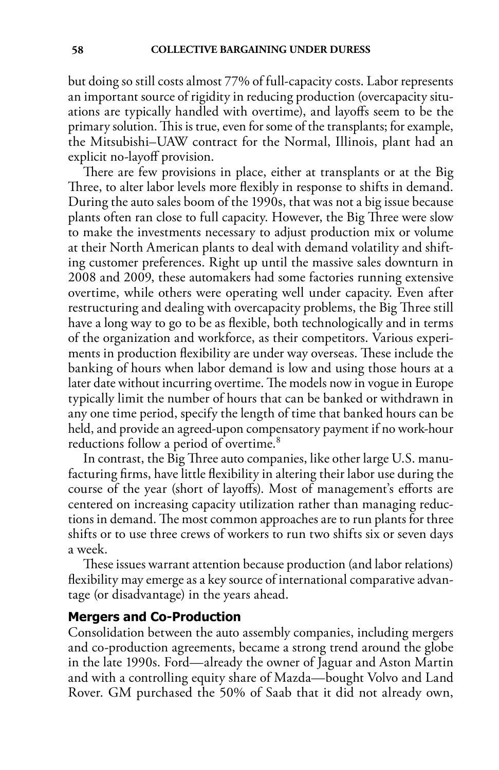but doing so still costs almost 77% of full-capacity costs. Labor represents an important source of rigidity in reducing production (overcapacity situations are typically handled with overtime), and layoffs seem to be the primary solution. This is true, even for some of the transplants; for example, the Mitsubishi–UAW contract for the Normal, Illinois, plant had an explicit no-layoff provision.

There are few provisions in place, either at transplants or at the Big Three, to alter labor levels more flexibly in response to shifts in demand. During the auto sales boom of the 1990s, that was not a big issue because plants often ran close to full capacity. However, the Big Three were slow to make the investments necessary to adjust production mix or volume at their North American plants to deal with demand volatility and shifting customer preferences. Right up until the massive sales downturn in 2008 and 2009, these automakers had some factories running extensive overtime, while others were operating well under capacity. Even after restructuring and dealing with overcapacity problems, the Big Three still have a long way to go to be as flexible, both technologically and in terms of the organization and workforce, as their competitors. Various experiments in production flexibility are under way overseas. These include the banking of hours when labor demand is low and using those hours at a later date without incurring overtime. The models now in vogue in Europe typically limit the number of hours that can be banked or withdrawn in any one time period, specify the length of time that banked hours can be held, and provide an agreed-upon compensatory payment if no work-hour reductions follow a period of overtime.<sup>8</sup>

In contrast, the Big Three auto companies, like other large U.S. manufacturing firms, have little flexibility in altering their labor use during the course of the year (short of layoffs). Most of management's efforts are centered on increasing capacity utilization rather than managing reductions in demand. The most common approaches are to run plants for three shifts or to use three crews of workers to run two shifts six or seven days a week.

These issues warrant attention because production (and labor relations) flexibility may emerge as a key source of international comparative advantage (or disadvantage) in the years ahead.

#### **Mergers and Co-Production**

Consolidation between the auto assembly companies, including mergers and co-production agreements, became a strong trend around the globe in the late 1990s. Ford—already the owner of Jaguar and Aston Martin and with a controlling equity share of Mazda—bought Volvo and Land Rover. GM purchased the 50% of Saab that it did not already own,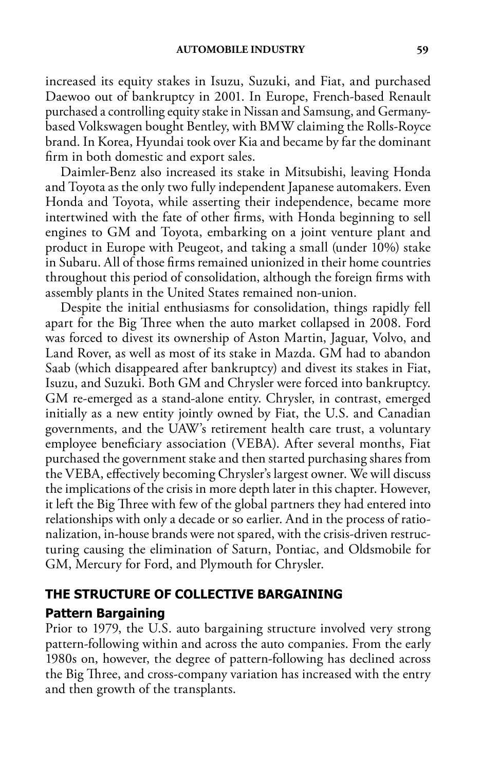increased its equity stakes in Isuzu, Suzuki, and Fiat, and purchased Daewoo out of bankruptcy in 2001. In Europe, French-based Renault purchased a controlling equity stake in Nissan and Samsung, and Germanybased Volkswagen bought Bentley, with BMW claiming the Rolls-Royce brand. In Korea, Hyundai took over Kia and became by far the dominant firm in both domestic and export sales.

Daimler-Benz also increased its stake in Mitsubishi, leaving Honda and Toyota as the only two fully independent Japanese automakers. Even Honda and Toyota, while asserting their independence, became more intertwined with the fate of other firms, with Honda beginning to sell engines to GM and Toyota, embarking on a joint venture plant and product in Europe with Peugeot, and taking a small (under 10%) stake in Subaru. All of those firms remained unionized in their home countries throughout this period of consolidation, although the foreign firms with assembly plants in the United States remained non-union.

Despite the initial enthusiasms for consolidation, things rapidly fell apart for the Big Three when the auto market collapsed in 2008. Ford was forced to divest its ownership of Aston Martin, Jaguar, Volvo, and Land Rover, as well as most of its stake in Mazda. GM had to abandon Saab (which disappeared after bankruptcy) and divest its stakes in Fiat, Isuzu, and Suzuki. Both GM and Chrysler were forced into bankruptcy. GM re-emerged as a stand-alone entity. Chrysler, in contrast, emerged initially as a new entity jointly owned by Fiat, the U.S. and Canadian governments, and the UAW's retirement health care trust, a voluntary employee beneficiary association (VEBA). After several months, Fiat purchased the government stake and then started purchasing shares from the VEBA, effectively becoming Chrysler's largest owner. We will discuss the implications of the crisis in more depth later in this chapter. However, it left the Big Three with few of the global partners they had entered into relationships with only a decade or so earlier. And in the process of rationalization, in-house brands were not spared, with the crisis-driven restructuring causing the elimination of Saturn, Pontiac, and Oldsmobile for GM, Mercury for Ford, and Plymouth for Chrysler.

# **The Structure of Collective Bargaining**

# **Pattern Bargaining**

Prior to 1979, the U.S. auto bargaining structure involved very strong pattern-following within and across the auto companies. From the early 1980s on, however, the degree of pattern-following has declined across the Big Three, and cross-company variation has increased with the entry and then growth of the transplants.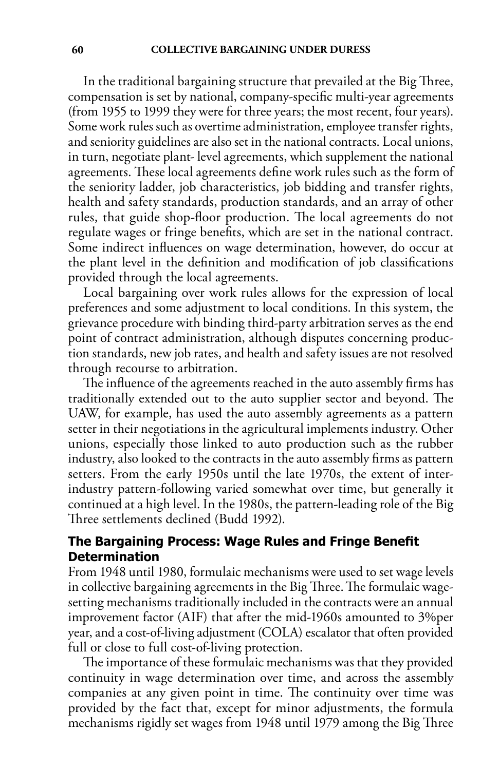In the traditional bargaining structure that prevailed at the Big Three, compensation is set by national, company-specific multi-year agreements (from 1955 to 1999 they were for three years; the most recent, four years). Some work rules such as overtime administration, employee transfer rights, and seniority guidelines are also set in the national contracts. Local unions, in turn, negotiate plant- level agreements, which supplement the national agreements. These local agreements define work rules such as the form of the seniority ladder, job characteristics, job bidding and transfer rights, health and safety standards, production standards, and an array of other rules, that guide shop-floor production. The local agreements do not regulate wages or fringe benefits, which are set in the national contract. Some indirect influences on wage determination, however, do occur at the plant level in the definition and modification of job classifications provided through the local agreements.

Local bargaining over work rules allows for the expression of local preferences and some adjustment to local conditions. In this system, the grievance procedure with binding third-party arbitration serves as the end point of contract administration, although disputes concerning production standards, new job rates, and health and safety issues are not resolved through recourse to arbitration.

The influence of the agreements reached in the auto assembly firms has traditionally extended out to the auto supplier sector and beyond. The UAW, for example, has used the auto assembly agreements as a pattern setter in their negotiations in the agricultural implements industry. Other unions, especially those linked to auto production such as the rubber industry, also looked to the contracts in the auto assembly firms as pattern setters. From the early 1950s until the late 1970s, the extent of interindustry pattern-following varied somewhat over time, but generally it continued at a high level. In the 1980s, the pattern-leading role of the Big Three settlements declined (Budd 1992).

# **The Bargaining Process: Wage Rules and Fringe Benefit Determination**

From 1948 until 1980, formulaic mechanisms were used to set wage levels in collective bargaining agreements in the Big Three. The formulaic wagesetting mechanisms traditionally included in the contracts were an annual improvement factor (AIF) that after the mid-1960s amounted to 3%per year, and a cost-of-living adjustment (COLA) escalator that often provided full or close to full cost-of-living protection.

The importance of these formulaic mechanisms was that they provided continuity in wage determination over time, and across the assembly companies at any given point in time. The continuity over time was provided by the fact that, except for minor adjustments, the formula mechanisms rigidly set wages from 1948 until 1979 among the Big Three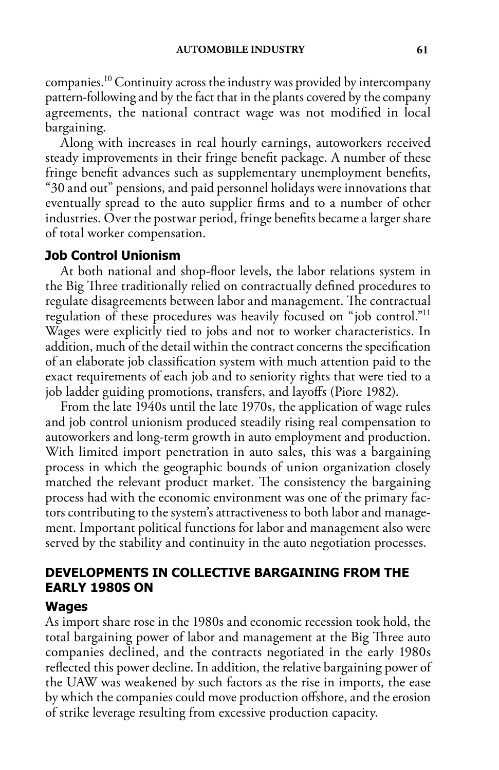companies.10 Continuity across the industry was provided by intercompany pattern-following and by the fact that in the plants covered by the company agreements, the national contract wage was not modified in local bargaining.

Along with increases in real hourly earnings, autoworkers received steady improvements in their fringe benefit package. A number of these fringe benefit advances such as supplementary unemployment benefits, "30 and out" pensions, and paid personnel holidays were innovations that eventually spread to the auto supplier firms and to a number of other industries. Over the postwar period, fringe benefits became a larger share of total worker compensation.

## **Job Control Unionism**

At both national and shop-floor levels, the labor relations system in the Big Three traditionally relied on contractually defined procedures to regulate disagreements between labor and management. The contractual regulation of these procedures was heavily focused on "job control."11 Wages were explicitly tied to jobs and not to worker characteristics. In addition, much of the detail within the contract concerns the specification of an elaborate job classification system with much attention paid to the exact requirements of each job and to seniority rights that were tied to a job ladder guiding promotions, transfers, and layoffs (Piore 1982).

From the late 1940s until the late 1970s, the application of wage rules and job control unionism produced steadily rising real compensation to autoworkers and long-term growth in auto employment and production. With limited import penetration in auto sales, this was a bargaining process in which the geographic bounds of union organization closely matched the relevant product market. The consistency the bargaining process had with the economic environment was one of the primary factors contributing to the system's attractiveness to both labor and management. Important political functions for labor and management also were served by the stability and continuity in the auto negotiation processes.

# **Developments in Collective Bargaining from the Early 1980s On**

#### **Wages**

As import share rose in the 1980s and economic recession took hold, the total bargaining power of labor and management at the Big Three auto companies declined, and the contracts negotiated in the early 1980s reflected this power decline. In addition, the relative bargaining power of the UAW was weakened by such factors as the rise in imports, the ease by which the companies could move production offshore, and the erosion of strike leverage resulting from excessive production capacity.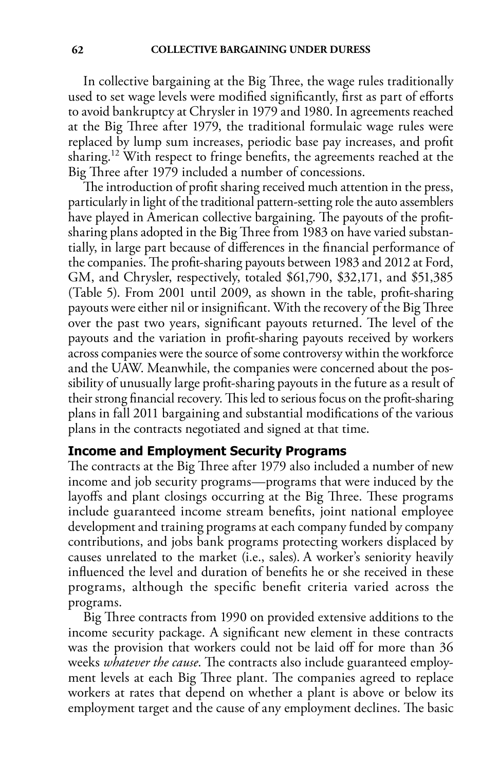In collective bargaining at the Big Three, the wage rules traditionally used to set wage levels were modified significantly, first as part of efforts to avoid bankruptcy at Chrysler in 1979 and 1980. In agreements reached at the Big Three after 1979, the traditional formulaic wage rules were replaced by lump sum increases, periodic base pay increases, and profit sharing.12 With respect to fringe benefits, the agreements reached at the Big Three after 1979 included a number of concessions.

The introduction of profit sharing received much attention in the press, particularly in light of the traditional pattern-setting role the auto assemblers have played in American collective bargaining. The payouts of the profitsharing plans adopted in the Big Three from 1983 on have varied substantially, in large part because of differences in the financial performance of the companies. The profit-sharing payouts between 1983 and 2012 at Ford, GM, and Chrysler, respectively, totaled \$61,790, \$32,171, and \$51,385 (Table 5). From 2001 until 2009, as shown in the table, profit-sharing payouts were either nil or insignificant. With the recovery of the Big Three over the past two years, significant payouts returned. The level of the payouts and the variation in profit-sharing payouts received by workers across companies were the source of some controversy within the workforce and the UAW. Meanwhile, the companies were concerned about the possibility of unusually large profit-sharing payouts in the future as a result of their strong financial recovery. This led to serious focus on the profit-sharing plans in fall 2011 bargaining and substantial modifications of the various plans in the contracts negotiated and signed at that time.

# **Income and Employment Security Programs**

The contracts at the Big Three after 1979 also included a number of new income and job security programs—programs that were induced by the layoffs and plant closings occurring at the Big Three. These programs include guaranteed income stream benefits, joint national employee development and training programs at each company funded by company contributions, and jobs bank programs protecting workers displaced by causes unrelated to the market (i.e., sales). A worker's seniority heavily influenced the level and duration of benefits he or she received in these programs, although the specific benefit criteria varied across the programs.

Big Three contracts from 1990 on provided extensive additions to the income security package. A significant new element in these contracts was the provision that workers could not be laid off for more than 36 weeks *whatever the cause*. The contracts also include guaranteed employment levels at each Big Three plant. The companies agreed to replace workers at rates that depend on whether a plant is above or below its employment target and the cause of any employment declines. The basic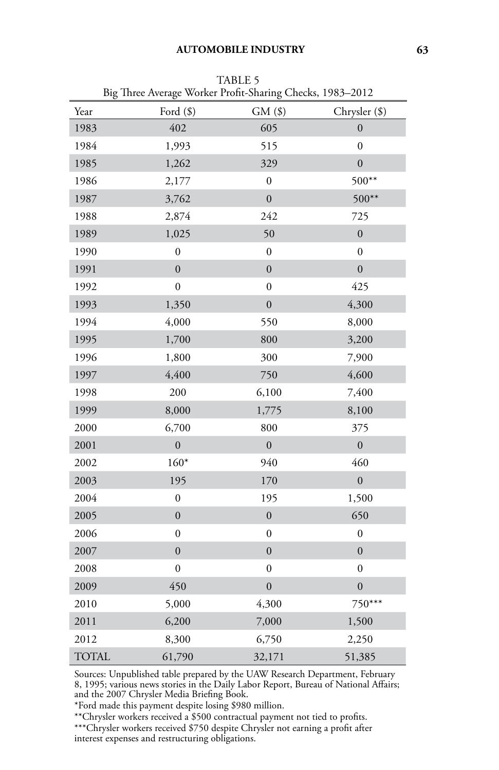|              | Big Three Average Worker Profit-Sharing Checks, 1985–2012 |                  |                  |
|--------------|-----------------------------------------------------------|------------------|------------------|
| Year         | Ford $(\$)$                                               | $GM($ \$)        | Chrysler (\$)    |
| 1983         | 402                                                       | 605              | $\overline{0}$   |
| 1984         | 1,993                                                     | 515              | 0                |
| 1985         | 1,262                                                     | 329              | $\mathbf{0}$     |
| 1986         | 2,177                                                     | $\boldsymbol{0}$ | 500**            |
| 1987         | 3,762                                                     | $\boldsymbol{0}$ | $500**$          |
| 1988         | 2,874                                                     | 242              | 725              |
| 1989         | 1,025                                                     | 50               | $\boldsymbol{0}$ |
| 1990         | $\boldsymbol{0}$                                          | $\overline{0}$   | $\overline{0}$   |
| 1991         | $\mathbf{0}$                                              | $\boldsymbol{0}$ | $\boldsymbol{0}$ |
| 1992         | $\boldsymbol{0}$                                          | $\boldsymbol{0}$ | 425              |
| 1993         | 1,350                                                     | $\overline{0}$   | 4,300            |
| 1994         | 4,000                                                     | 550              | 8,000            |
| 1995         | 1,700                                                     | 800              | 3,200            |
| 1996         | 1,800                                                     | 300              | 7,900            |
| 1997         | 4,400                                                     | 750              | 4,600            |
| 1998         | 200                                                       | 6,100            | 7,400            |
| 1999         | 8,000                                                     | 1,775            | 8,100            |
| 2000         | 6,700                                                     | 800              | 375              |
| 2001         | $\overline{0}$                                            | $\overline{0}$   | $\overline{0}$   |
| 2002         | $160*$                                                    | 940              | 460              |
| 2003         | 195                                                       | 170              | $\mathbf{0}$     |
| 2004         | $\boldsymbol{0}$                                          | 195              | 1,500            |
| 2005         | $\boldsymbol{0}$                                          | $\boldsymbol{0}$ | 650              |
| 2006         | $\boldsymbol{0}$                                          | $\boldsymbol{0}$ | $\boldsymbol{0}$ |
| 2007         | $\mathbf{0}$                                              | $\boldsymbol{0}$ | $\boldsymbol{0}$ |
| 2008         | $\boldsymbol{0}$                                          | $\boldsymbol{0}$ | $\boldsymbol{0}$ |
| 2009         | 450                                                       | $\overline{0}$   | $\overline{0}$   |
| 2010         | 5,000                                                     | 4,300            | 750***           |
| 2011         | 6,200                                                     | 7,000            | 1,500            |
| 2012         | 8,300                                                     | 6,750            | 2,250            |
| <b>TOTAL</b> | 61,790                                                    | 32,171           | 51,385           |

TABLE 5 Big Three Average Worker Profit-Sharing Checks, 1983–2012

Sources: Unpublished table prepared by the UAW Research Department, February 8, 1995; various news stories in the Daily Labor Report, Bureau of National Affairs; and the 2007 Chrysler Media Briefing Book.

\*Ford made this payment despite losing \$980 million.

\*\*Chrysler workers received a \$500 contractual payment not tied to profits.

\*\*\*Chrysler workers received \$750 despite Chrysler not earning a profit after interest expenses and restructuring obligations.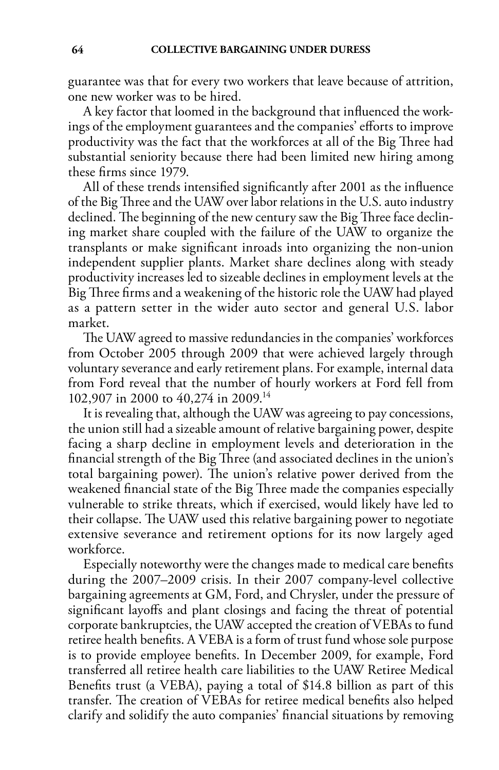guarantee was that for every two workers that leave because of attrition, one new worker was to be hired.

A key factor that loomed in the background that influenced the workings of the employment guarantees and the companies' efforts to improve productivity was the fact that the workforces at all of the Big Three had substantial seniority because there had been limited new hiring among these firms since 1979.

All of these trends intensified significantly after 2001 as the influence of the Big Three and the UAW over labor relations in the U.S. auto industry declined. The beginning of the new century saw the Big Three face declining market share coupled with the failure of the UAW to organize the transplants or make significant inroads into organizing the non-union independent supplier plants. Market share declines along with steady productivity increases led to sizeable declines in employment levels at the Big Three firms and a weakening of the historic role the UAW had played as a pattern setter in the wider auto sector and general U.S. labor market.

The UAW agreed to massive redundancies in the companies' workforces from October 2005 through 2009 that were achieved largely through voluntary severance and early retirement plans. For example, internal data from Ford reveal that the number of hourly workers at Ford fell from 102,907 in 2000 to 40,274 in 2009.14

It is revealing that, although the UAW was agreeing to pay concessions, the union still had a sizeable amount of relative bargaining power, despite facing a sharp decline in employment levels and deterioration in the financial strength of the Big Three (and associated declines in the union's total bargaining power). The union's relative power derived from the weakened financial state of the Big Three made the companies especially vulnerable to strike threats, which if exercised, would likely have led to their collapse. The UAW used this relative bargaining power to negotiate extensive severance and retirement options for its now largely aged workforce.

Especially noteworthy were the changes made to medical care benefits during the 2007–2009 crisis. In their 2007 company-level collective bargaining agreements at GM, Ford, and Chrysler, under the pressure of significant layoffs and plant closings and facing the threat of potential corporate bankruptcies, the UAW accepted the creation of VEBAs to fund retiree health benefits. A VEBA is a form of trust fund whose sole purpose is to provide employee benefits. In December 2009, for example, Ford transferred all retiree health care liabilities to the UAW Retiree Medical Benefits trust (a VEBA), paying a total of \$14.8 billion as part of this transfer. The creation of VEBAs for retiree medical benefits also helped clarify and solidify the auto companies' financial situations by removing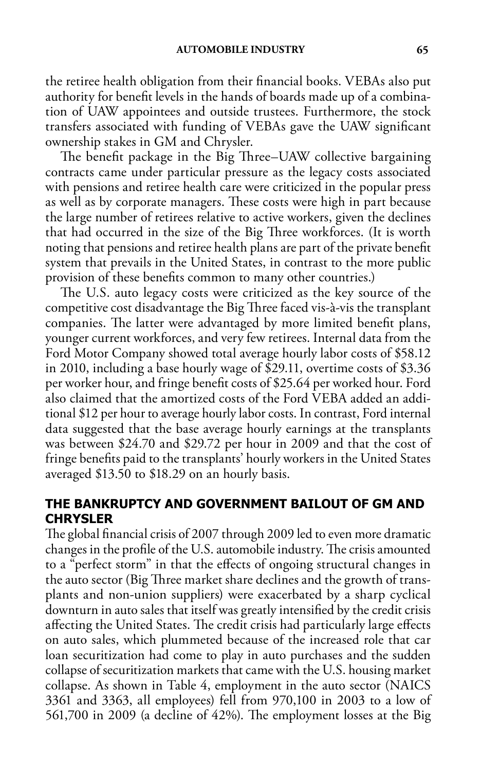the retiree health obligation from their financial books. VEBAs also put authority for benefit levels in the hands of boards made up of a combination of UAW appointees and outside trustees. Furthermore, the stock transfers associated with funding of VEBAs gave the UAW significant ownership stakes in GM and Chrysler.

The benefit package in the Big Three–UAW collective bargaining contracts came under particular pressure as the legacy costs associated with pensions and retiree health care were criticized in the popular press as well as by corporate managers. These costs were high in part because the large number of retirees relative to active workers, given the declines that had occurred in the size of the Big Three workforces. (It is worth noting that pensions and retiree health plans are part of the private benefit system that prevails in the United States, in contrast to the more public provision of these benefits common to many other countries.)

The U.S. auto legacy costs were criticized as the key source of the competitive cost disadvantage the Big Three faced vis-à-vis the transplant companies. The latter were advantaged by more limited benefit plans, younger current workforces, and very few retirees. Internal data from the Ford Motor Company showed total average hourly labor costs of \$58.12 in 2010, including a base hourly wage of \$29.11, overtime costs of \$3.36 per worker hour, and fringe benefit costs of \$25.64 per worked hour. Ford also claimed that the amortized costs of the Ford VEBA added an additional \$12 per hour to average hourly labor costs. In contrast, Ford internal data suggested that the base average hourly earnings at the transplants was between \$24.70 and \$29.72 per hour in 2009 and that the cost of fringe benefits paid to the transplants' hourly workers in the United States averaged \$13.50 to \$18.29 on an hourly basis.

# **The Bankruptcy and Government Bailout of GM and Chrysler**

The global financial crisis of 2007 through 2009 led to even more dramatic changes in the profile of the U.S. automobile industry. The crisis amounted to a "perfect storm" in that the effects of ongoing structural changes in the auto sector (Big Three market share declines and the growth of transplants and non-union suppliers) were exacerbated by a sharp cyclical downturn in auto sales that itself was greatly intensified by the credit crisis affecting the United States. The credit crisis had particularly large effects on auto sales, which plummeted because of the increased role that car loan securitization had come to play in auto purchases and the sudden collapse of securitization markets that came with the U.S. housing market collapse. As shown in Table 4, employment in the auto sector (NAICS 3361 and 3363, all employees) fell from 970,100 in 2003 to a low of 561,700 in 2009 (a decline of 42%). The employment losses at the Big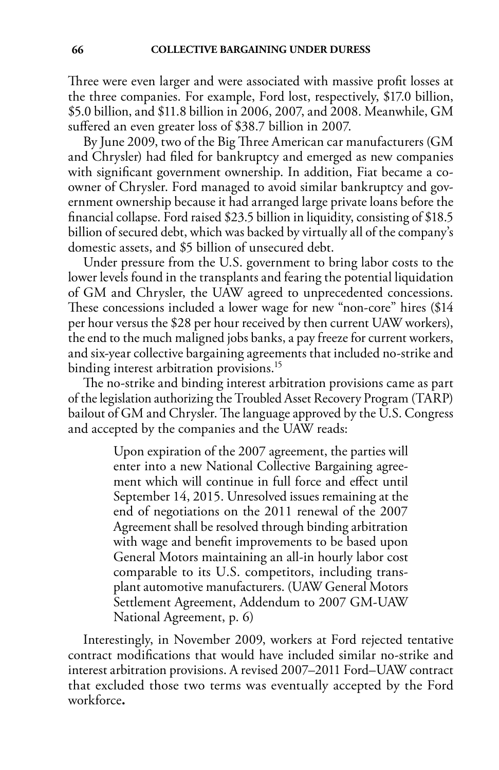Three were even larger and were associated with massive profit losses at the three companies. For example, Ford lost, respectively, \$17.0 billion, \$5.0 billion, and \$11.8 billion in 2006, 2007, and 2008. Meanwhile, GM suffered an even greater loss of \$38.7 billion in 2007.

By June 2009, two of the Big Three American car manufacturers (GM and Chrysler) had filed for bankruptcy and emerged as new companies with significant government ownership. In addition, Fiat became a coowner of Chrysler. Ford managed to avoid similar bankruptcy and government ownership because it had arranged large private loans before the financial collapse. Ford raised \$23.5 billion in liquidity, consisting of \$18.5 billion of secured debt, which was backed by virtually all of the company's domestic assets, and \$5 billion of unsecured debt.

Under pressure from the U.S. government to bring labor costs to the lower levels found in the transplants and fearing the potential liquidation of GM and Chrysler, the UAW agreed to unprecedented concessions. These concessions included a lower wage for new "non-core" hires (\$14 per hour versus the \$28 per hour received by then current UAW workers), the end to the much maligned jobs banks, a pay freeze for current workers, and six-year collective bargaining agreements that included no-strike and binding interest arbitration provisions.<sup>15</sup>

The no-strike and binding interest arbitration provisions came as part of the legislation authorizing the Troubled Asset Recovery Program (TARP) bailout of GM and Chrysler. The language approved by the U.S. Congress and accepted by the companies and the UAW reads:

> Upon expiration of the 2007 agreement, the parties will enter into a new National Collective Bargaining agreement which will continue in full force and effect until September 14, 2015. Unresolved issues remaining at the end of negotiations on the 2011 renewal of the 2007 Agreement shall be resolved through binding arbitration with wage and benefit improvements to be based upon General Motors maintaining an all-in hourly labor cost comparable to its U.S. competitors, including transplant automotive manufacturers. (UAW General Motors Settlement Agreement, Addendum to 2007 GM-UAW National Agreement, p. 6)

Interestingly, in November 2009, workers at Ford rejected tentative contract modifications that would have included similar no-strike and interest arbitration provisions. A revised 2007–2011 Ford–UAW contract that excluded those two terms was eventually accepted by the Ford workforce**.**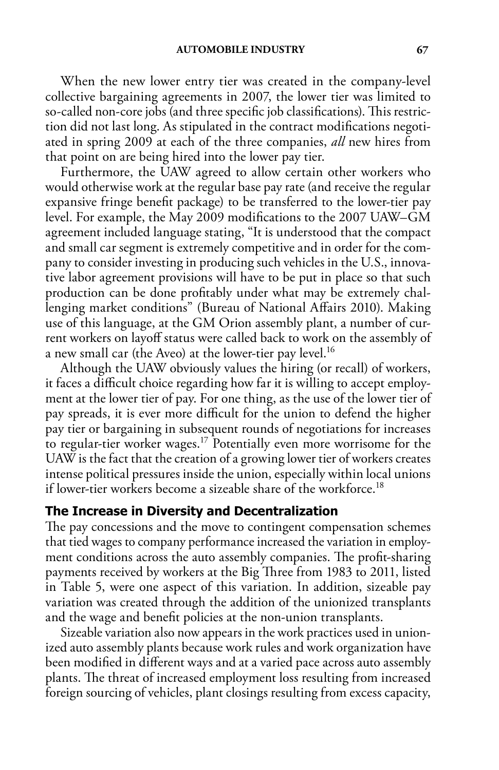When the new lower entry tier was created in the company-level collective bargaining agreements in 2007, the lower tier was limited to so-called non-core jobs (and three specific job classifications). This restriction did not last long. As stipulated in the contract modifications negotiated in spring 2009 at each of the three companies, *all* new hires from that point on are being hired into the lower pay tier.

Furthermore, the UAW agreed to allow certain other workers who would otherwise work at the regular base pay rate (and receive the regular expansive fringe benefit package) to be transferred to the lower-tier pay level. For example, the May 2009 modifications to the 2007 UAW–GM agreement included language stating, "It is understood that the compact and small car segment is extremely competitive and in order for the company to consider investing in producing such vehicles in the U.S., innovative labor agreement provisions will have to be put in place so that such production can be done profitably under what may be extremely challenging market conditions" (Bureau of National Affairs 2010). Making use of this language, at the GM Orion assembly plant, a number of current workers on layoff status were called back to work on the assembly of a new small car (the Aveo) at the lower-tier pay level.<sup>16</sup>

Although the UAW obviously values the hiring (or recall) of workers, it faces a difficult choice regarding how far it is willing to accept employment at the lower tier of pay. For one thing, as the use of the lower tier of pay spreads, it is ever more difficult for the union to defend the higher pay tier or bargaining in subsequent rounds of negotiations for increases to regular-tier worker wages.17 Potentially even more worrisome for the UAW is the fact that the creation of a growing lower tier of workers creates intense political pressures inside the union, especially within local unions if lower-tier workers become a sizeable share of the workforce.<sup>18</sup>

#### **The Increase in Diversity and Decentralization**

The pay concessions and the move to contingent compensation schemes that tied wages to company performance increased the variation in employment conditions across the auto assembly companies. The profit-sharing payments received by workers at the Big Three from 1983 to 2011, listed in Table 5, were one aspect of this variation. In addition, sizeable pay variation was created through the addition of the unionized transplants and the wage and benefit policies at the non-union transplants.

Sizeable variation also now appears in the work practices used in unionized auto assembly plants because work rules and work organization have been modified in different ways and at a varied pace across auto assembly plants. The threat of increased employment loss resulting from increased foreign sourcing of vehicles, plant closings resulting from excess capacity,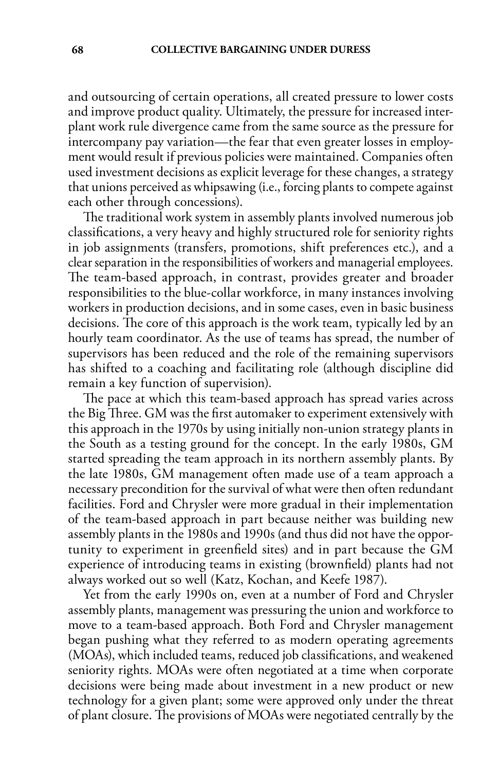and outsourcing of certain operations, all created pressure to lower costs and improve product quality. Ultimately, the pressure for increased interplant work rule divergence came from the same source as the pressure for intercompany pay variation—the fear that even greater losses in employment would result if previous policies were maintained. Companies often used investment decisions as explicit leverage for these changes, a strategy that unions perceived as whipsawing (i.e., forcing plants to compete against each other through concessions).

The traditional work system in assembly plants involved numerous job classifications, a very heavy and highly structured role for seniority rights in job assignments (transfers, promotions, shift preferences etc.), and a clear separation in the responsibilities of workers and managerial employees. The team-based approach, in contrast, provides greater and broader responsibilities to the blue-collar workforce, in many instances involving workers in production decisions, and in some cases, even in basic business decisions. The core of this approach is the work team, typically led by an hourly team coordinator. As the use of teams has spread, the number of supervisors has been reduced and the role of the remaining supervisors has shifted to a coaching and facilitating role (although discipline did remain a key function of supervision).

The pace at which this team-based approach has spread varies across the Big Three. GM was the first automaker to experiment extensively with this approach in the 1970s by using initially non-union strategy plants in the South as a testing ground for the concept. In the early 1980s, GM started spreading the team approach in its northern assembly plants. By the late 1980s, GM management often made use of a team approach a necessary precondition for the survival of what were then often redundant facilities. Ford and Chrysler were more gradual in their implementation of the team-based approach in part because neither was building new assembly plants in the 1980s and 1990s (and thus did not have the opportunity to experiment in greenfield sites) and in part because the GM experience of introducing teams in existing (brownfield) plants had not always worked out so well (Katz, Kochan, and Keefe 1987).

Yet from the early 1990s on, even at a number of Ford and Chrysler assembly plants, management was pressuring the union and workforce to move to a team-based approach. Both Ford and Chrysler management began pushing what they referred to as modern operating agreements (MOAs), which included teams, reduced job classifications, and weakened seniority rights. MOAs were often negotiated at a time when corporate decisions were being made about investment in a new product or new technology for a given plant; some were approved only under the threat of plant closure. The provisions of MOAs were negotiated centrally by the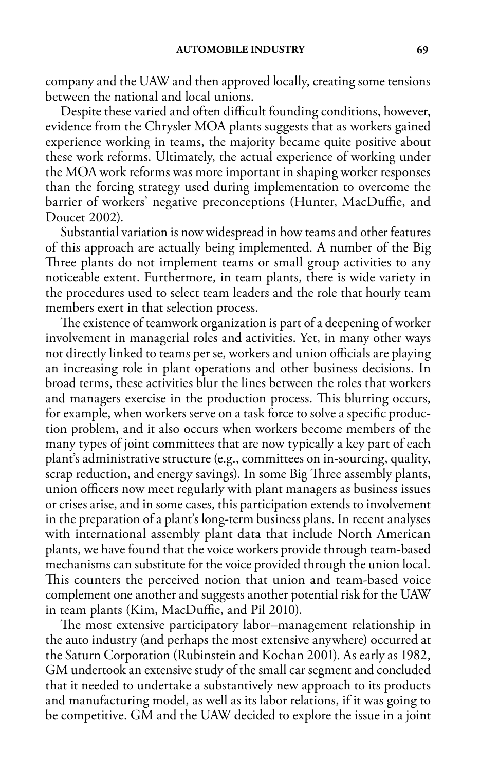company and the UAW and then approved locally, creating some tensions between the national and local unions.

Despite these varied and often difficult founding conditions, however, evidence from the Chrysler MOA plants suggests that as workers gained experience working in teams, the majority became quite positive about these work reforms. Ultimately, the actual experience of working under the MOA work reforms was more important in shaping worker responses than the forcing strategy used during implementation to overcome the barrier of workers' negative preconceptions (Hunter, MacDuffie, and Doucet 2002).

Substantial variation is now widespread in how teams and other features of this approach are actually being implemented. A number of the Big Three plants do not implement teams or small group activities to any noticeable extent. Furthermore, in team plants, there is wide variety in the procedures used to select team leaders and the role that hourly team members exert in that selection process.

The existence of teamwork organization is part of a deepening of worker involvement in managerial roles and activities. Yet, in many other ways not directly linked to teams per se, workers and union officials are playing an increasing role in plant operations and other business decisions. In broad terms, these activities blur the lines between the roles that workers and managers exercise in the production process. This blurring occurs, for example, when workers serve on a task force to solve a specific production problem, and it also occurs when workers become members of the many types of joint committees that are now typically a key part of each plant's administrative structure (e.g., committees on in-sourcing, quality, scrap reduction, and energy savings). In some Big Three assembly plants, union officers now meet regularly with plant managers as business issues or crises arise, and in some cases, this participation extends to involvement in the preparation of a plant's long-term business plans. In recent analyses with international assembly plant data that include North American plants, we have found that the voice workers provide through team-based mechanisms can substitute for the voice provided through the union local. This counters the perceived notion that union and team-based voice complement one another and suggests another potential risk for the UAW in team plants (Kim, MacDuffie, and Pil 2010).

The most extensive participatory labor–management relationship in the auto industry (and perhaps the most extensive anywhere) occurred at the Saturn Corporation (Rubinstein and Kochan 2001). As early as 1982, GM undertook an extensive study of the small car segment and concluded that it needed to undertake a substantively new approach to its products and manufacturing model, as well as its labor relations, if it was going to be competitive. GM and the UAW decided to explore the issue in a joint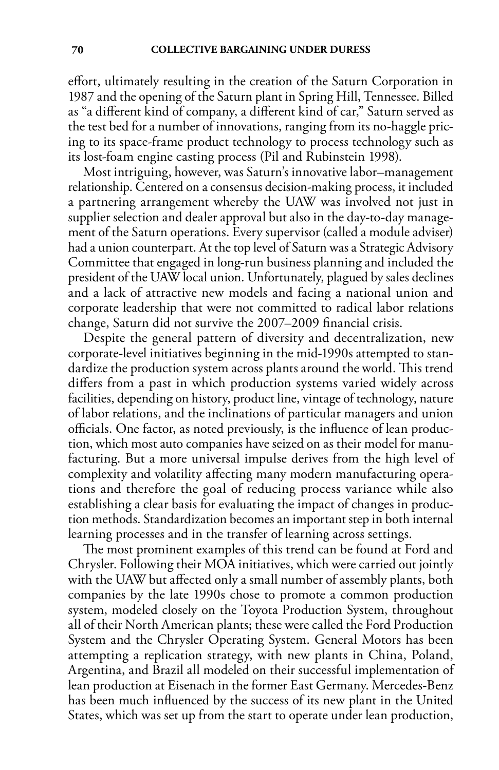effort, ultimately resulting in the creation of the Saturn Corporation in 1987 and the opening of the Saturn plant in Spring Hill, Tennessee. Billed as "a different kind of company, a different kind of car," Saturn served as the test bed for a number of innovations, ranging from its no-haggle pricing to its space-frame product technology to process technology such as its lost-foam engine casting process (Pil and Rubinstein 1998).

Most intriguing, however, was Saturn's innovative labor–management relationship. Centered on a consensus decision-making process, it included a partnering arrangement whereby the UAW was involved not just in supplier selection and dealer approval but also in the day-to-day management of the Saturn operations. Every supervisor (called a module adviser) had a union counterpart. At the top level of Saturn was a Strategic Advisory Committee that engaged in long-run business planning and included the president of the UAW local union. Unfortunately, plagued by sales declines and a lack of attractive new models and facing a national union and corporate leadership that were not committed to radical labor relations change, Saturn did not survive the 2007–2009 financial crisis.

Despite the general pattern of diversity and decentralization, new corporate-level initiatives beginning in the mid-1990s attempted to standardize the production system across plants around the world. This trend differs from a past in which production systems varied widely across facilities, depending on history, product line, vintage of technology, nature of labor relations, and the inclinations of particular managers and union officials. One factor, as noted previously, is the influence of lean production, which most auto companies have seized on as their model for manufacturing. But a more universal impulse derives from the high level of complexity and volatility affecting many modern manufacturing operations and therefore the goal of reducing process variance while also establishing a clear basis for evaluating the impact of changes in production methods. Standardization becomes an important step in both internal learning processes and in the transfer of learning across settings.

The most prominent examples of this trend can be found at Ford and Chrysler. Following their MOA initiatives, which were carried out jointly with the UAW but affected only a small number of assembly plants, both companies by the late 1990s chose to promote a common production system, modeled closely on the Toyota Production System, throughout all of their North American plants; these were called the Ford Production System and the Chrysler Operating System. General Motors has been attempting a replication strategy, with new plants in China, Poland, Argentina, and Brazil all modeled on their successful implementation of lean production at Eisenach in the former East Germany. Mercedes-Benz has been much influenced by the success of its new plant in the United States, which was set up from the start to operate under lean production,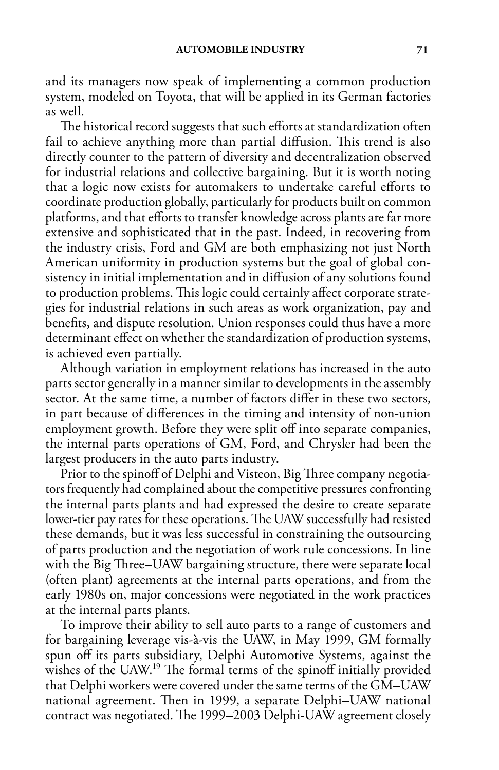and its managers now speak of implementing a common production system, modeled on Toyota, that will be applied in its German factories as well.

The historical record suggests that such efforts at standardization often fail to achieve anything more than partial diffusion. This trend is also directly counter to the pattern of diversity and decentralization observed for industrial relations and collective bargaining. But it is worth noting that a logic now exists for automakers to undertake careful efforts to coordinate production globally, particularly for products built on common platforms, and that efforts to transfer knowledge across plants are far more extensive and sophisticated that in the past. Indeed, in recovering from the industry crisis, Ford and GM are both emphasizing not just North American uniformity in production systems but the goal of global consistency in initial implementation and in diffusion of any solutions found to production problems. This logic could certainly affect corporate strategies for industrial relations in such areas as work organization, pay and benefits, and dispute resolution. Union responses could thus have a more determinant effect on whether the standardization of production systems, is achieved even partially.

Although variation in employment relations has increased in the auto parts sector generally in a manner similar to developments in the assembly sector. At the same time, a number of factors differ in these two sectors, in part because of differences in the timing and intensity of non-union employment growth. Before they were split off into separate companies, the internal parts operations of GM, Ford, and Chrysler had been the largest producers in the auto parts industry.

Prior to the spinoff of Delphi and Visteon, Big Three company negotiators frequently had complained about the competitive pressures confronting the internal parts plants and had expressed the desire to create separate lower-tier pay rates for these operations. The UAW successfully had resisted these demands, but it was less successful in constraining the outsourcing of parts production and the negotiation of work rule concessions. In line with the Big Three–UAW bargaining structure, there were separate local (often plant) agreements at the internal parts operations, and from the early 1980s on, major concessions were negotiated in the work practices at the internal parts plants.

To improve their ability to sell auto parts to a range of customers and for bargaining leverage vis-à-vis the UAW, in May 1999, GM formally spun off its parts subsidiary, Delphi Automotive Systems, against the wishes of the UAW.19 The formal terms of the spinoff initially provided that Delphi workers were covered under the same terms of the GM–UAW national agreement. Then in 1999, a separate Delphi–UAW national contract was negotiated. The 1999–2003 Delphi-UAW agreement closely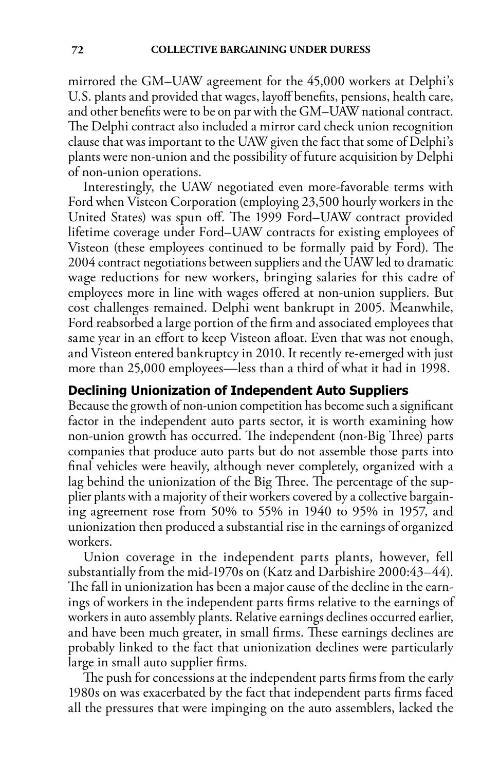mirrored the GM–UAW agreement for the 45,000 workers at Delphi's U.S. plants and provided that wages, layoff benefits, pensions, health care, and other benefits were to be on par with the GM–UAW national contract. The Delphi contract also included a mirror card check union recognition clause that was important to the UAW given the fact that some of Delphi's plants were non-union and the possibility of future acquisition by Delphi of non-union operations.

Interestingly, the UAW negotiated even more-favorable terms with Ford when Visteon Corporation (employing 23,500 hourly workers in the United States) was spun off. The 1999 Ford–UAW contract provided lifetime coverage under Ford–UAW contracts for existing employees of Visteon (these employees continued to be formally paid by Ford). The 2004 contract negotiations between suppliers and the UAW led to dramatic wage reductions for new workers, bringing salaries for this cadre of employees more in line with wages offered at non-union suppliers. But cost challenges remained. Delphi went bankrupt in 2005. Meanwhile, Ford reabsorbed a large portion of the firm and associated employees that same year in an effort to keep Visteon afloat. Even that was not enough, and Visteon entered bankruptcy in 2010. It recently re-emerged with just more than 25,000 employees—less than a third of what it had in 1998.

# **Declining Unionization of Independent Auto Suppliers**

Because the growth of non-union competition has become such a significant factor in the independent auto parts sector, it is worth examining how non-union growth has occurred. The independent (non-Big Three) parts companies that produce auto parts but do not assemble those parts into final vehicles were heavily, although never completely, organized with a lag behind the unionization of the Big Three. The percentage of the supplier plants with a majority of their workers covered by a collective bargaining agreement rose from 50% to 55% in 1940 to 95% in 1957, and unionization then produced a substantial rise in the earnings of organized workers.

Union coverage in the independent parts plants, however, fell substantially from the mid-1970s on (Katz and Darbishire 2000:43–44). The fall in unionization has been a major cause of the decline in the earnings of workers in the independent parts firms relative to the earnings of workers in auto assembly plants. Relative earnings declines occurred earlier, and have been much greater, in small firms. These earnings declines are probably linked to the fact that unionization declines were particularly large in small auto supplier firms.

The push for concessions at the independent parts firms from the early 1980s on was exacerbated by the fact that independent parts firms faced all the pressures that were impinging on the auto assemblers, lacked the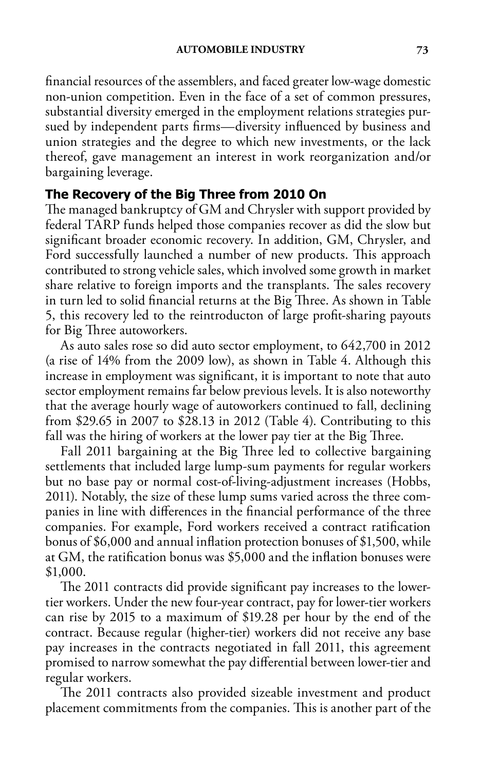financial resources of the assemblers, and faced greater low-wage domestic non-union competition. Even in the face of a set of common pressures, substantial diversity emerged in the employment relations strategies pursued by independent parts firms—diversity influenced by business and union strategies and the degree to which new investments, or the lack thereof, gave management an interest in work reorganization and/or bargaining leverage.

# **The Recovery of the Big Three from 2010 On**

The managed bankruptcy of GM and Chrysler with support provided by federal TARP funds helped those companies recover as did the slow but significant broader economic recovery. In addition, GM, Chrysler, and Ford successfully launched a number of new products. This approach contributed to strong vehicle sales, which involved some growth in market share relative to foreign imports and the transplants. The sales recovery in turn led to solid financial returns at the Big Three. As shown in Table 5, this recovery led to the reintroducton of large profit-sharing payouts for Big Three autoworkers.

As auto sales rose so did auto sector employment, to 642,700 in 2012 (a rise of 14% from the 2009 low), as shown in Table 4. Although this increase in employment was significant, it is important to note that auto sector employment remains far below previous levels. It is also noteworthy that the average hourly wage of autoworkers continued to fall, declining from \$29.65 in 2007 to \$28.13 in 2012 (Table 4). Contributing to this fall was the hiring of workers at the lower pay tier at the Big Three.

Fall 2011 bargaining at the Big Three led to collective bargaining settlements that included large lump-sum payments for regular workers but no base pay or normal cost-of-living-adjustment increases (Hobbs, 2011). Notably, the size of these lump sums varied across the three companies in line with differences in the financial performance of the three companies. For example, Ford workers received a contract ratification bonus of \$6,000 and annual inflation protection bonuses of \$1,500, while at GM, the ratification bonus was \$5,000 and the inflation bonuses were \$1,000.

The 2011 contracts did provide significant pay increases to the lowertier workers. Under the new four-year contract, pay for lower-tier workers can rise by 2015 to a maximum of \$19.28 per hour by the end of the contract. Because regular (higher-tier) workers did not receive any base pay increases in the contracts negotiated in fall 2011, this agreement promised to narrow somewhat the pay differential between lower-tier and regular workers.

The 2011 contracts also provided sizeable investment and product placement commitments from the companies. This is another part of the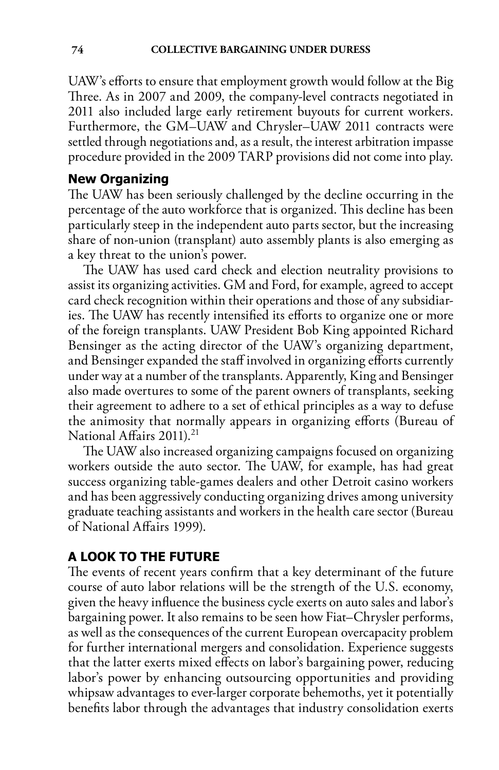UAW's efforts to ensure that employment growth would follow at the Big Three. As in 2007 and 2009, the company-level contracts negotiated in 2011 also included large early retirement buyouts for current workers. Furthermore, the GM–UAW and Chrysler–UAW 2011 contracts were settled through negotiations and, as a result, the interest arbitration impasse procedure provided in the 2009 TARP provisions did not come into play.

# **New Organizing**

The UAW has been seriously challenged by the decline occurring in the percentage of the auto workforce that is organized. This decline has been particularly steep in the independent auto parts sector, but the increasing share of non-union (transplant) auto assembly plants is also emerging as a key threat to the union's power.

The UAW has used card check and election neutrality provisions to assist its organizing activities. GM and Ford, for example, agreed to accept card check recognition within their operations and those of any subsidiaries. The UAW has recently intensified its efforts to organize one or more of the foreign transplants. UAW President Bob King appointed Richard Bensinger as the acting director of the UAW's organizing department, and Bensinger expanded the staff involved in organizing efforts currently under way at a number of the transplants. Apparently, King and Bensinger also made overtures to some of the parent owners of transplants, seeking their agreement to adhere to a set of ethical principles as a way to defuse the animosity that normally appears in organizing efforts (Bureau of National Affairs 2011).<sup>21</sup>

The UAW also increased organizing campaigns focused on organizing workers outside the auto sector. The UAW, for example, has had great success organizing table-games dealers and other Detroit casino workers and has been aggressively conducting organizing drives among university graduate teaching assistants and workers in the health care sector (Bureau of National Affairs 1999).

# **A Look to the Future**

The events of recent years confirm that a key determinant of the future course of auto labor relations will be the strength of the U.S. economy, given the heavy influence the business cycle exerts on auto sales and labor's bargaining power. It also remains to be seen how Fiat–Chrysler performs, as well as the consequences of the current European overcapacity problem for further international mergers and consolidation. Experience suggests that the latter exerts mixed effects on labor's bargaining power, reducing labor's power by enhancing outsourcing opportunities and providing whipsaw advantages to ever-larger corporate behemoths, yet it potentially benefits labor through the advantages that industry consolidation exerts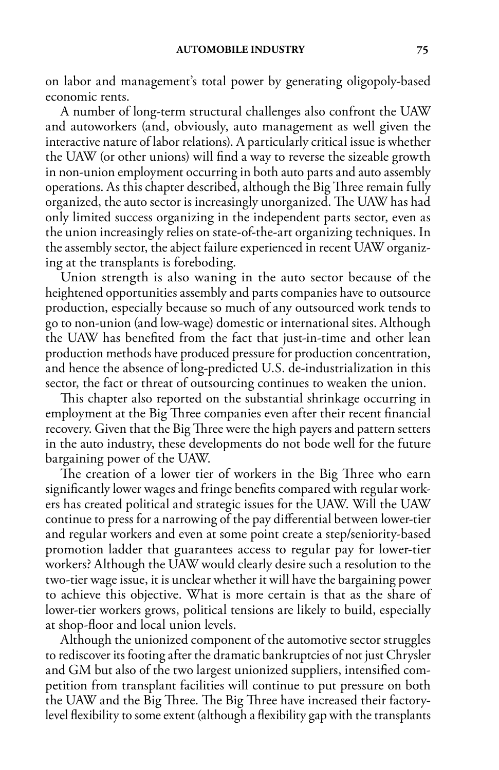on labor and management's total power by generating oligopoly-based economic rents.

A number of long-term structural challenges also confront the UAW and autoworkers (and, obviously, auto management as well given the interactive nature of labor relations). A particularly critical issue is whether the UAW (or other unions) will find a way to reverse the sizeable growth in non-union employment occurring in both auto parts and auto assembly operations. As this chapter described, although the Big Three remain fully organized, the auto sector is increasingly unorganized. The UAW has had only limited success organizing in the independent parts sector, even as the union increasingly relies on state-of-the-art organizing techniques. In the assembly sector, the abject failure experienced in recent UAW organizing at the transplants is foreboding.

Union strength is also waning in the auto sector because of the heightened opportunities assembly and parts companies have to outsource production, especially because so much of any outsourced work tends to go to non-union (and low-wage) domestic or international sites. Although the UAW has benefited from the fact that just-in-time and other lean production methods have produced pressure for production concentration, and hence the absence of long-predicted U.S. de-industrialization in this sector, the fact or threat of outsourcing continues to weaken the union.

This chapter also reported on the substantial shrinkage occurring in employment at the Big Three companies even after their recent financial recovery. Given that the Big Three were the high payers and pattern setters in the auto industry, these developments do not bode well for the future bargaining power of the UAW.

The creation of a lower tier of workers in the Big Three who earn significantly lower wages and fringe benefits compared with regular workers has created political and strategic issues for the UAW. Will the UAW continue to press for a narrowing of the pay differential between lower-tier and regular workers and even at some point create a step/seniority-based promotion ladder that guarantees access to regular pay for lower-tier workers? Although the UAW would clearly desire such a resolution to the two-tier wage issue, it is unclear whether it will have the bargaining power to achieve this objective. What is more certain is that as the share of lower-tier workers grows, political tensions are likely to build, especially at shop-floor and local union levels.

Although the unionized component of the automotive sector struggles to rediscover its footing after the dramatic bankruptcies of not just Chrysler and GM but also of the two largest unionized suppliers, intensified competition from transplant facilities will continue to put pressure on both the UAW and the Big Three. The Big Three have increased their factorylevel flexibility to some extent (although a flexibility gap with the transplants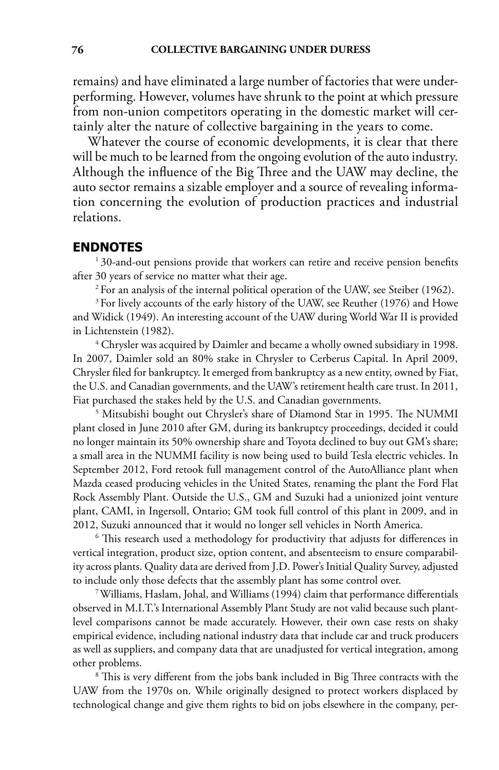remains) and have eliminated a large number of factories that were underperforming. However, volumes have shrunk to the point at which pressure from non-union competitors operating in the domestic market will certainly alter the nature of collective bargaining in the years to come.

Whatever the course of economic developments, it is clear that there will be much to be learned from the ongoing evolution of the auto industry. Although the influence of the Big Three and the UAW may decline, the auto sector remains a sizable employer and a source of revealing information concerning the evolution of production practices and industrial relations.

#### **Endnotes**

<sup>1</sup>30-and-out pensions provide that workers can retire and receive pension benefits after 30 years of service no matter what their age.

<sup>2</sup> For an analysis of the internal political operation of the UAW, see Steiber (1962).

<sup>3</sup> For lively accounts of the early history of the UAW, see Reuther (1976) and Howe and Widick (1949). An interesting account of the UAW during World War II is provided in Lichtenstein (1982).

4 Chrysler was acquired by Daimler and became a wholly owned subsidiary in 1998. In 2007, Daimler sold an 80% stake in Chrysler to Cerberus Capital. In April 2009, Chrysler filed for bankruptcy. It emerged from bankruptcy as a new entity, owned by Fiat, the U.S. and Canadian governments, and the UAW's retirement health care trust. In 2011, Fiat purchased the stakes held by the U.S. and Canadian governments.

 Mitsubishi bought out Chrysler's share of Diamond Star in 1995. The NUMMI plant closed in June 2010 after GM, during its bankruptcy proceedings, decided it could no longer maintain its 50% ownership share and Toyota declined to buy out GM's share; a small area in the NUMMI facility is now being used to build Tesla electric vehicles. In September 2012, Ford retook full management control of the AutoAlliance plant when Mazda ceased producing vehicles in the United States, renaming the plant the Ford Flat Rock Assembly Plant. Outside the U.S., GM and Suzuki had a unionized joint venture plant, CAMI, in Ingersoll, Ontario; GM took full control of this plant in 2009, and in 2012, Suzuki announced that it would no longer sell vehicles in North America. 6

<sup>6</sup> This research used a methodology for productivity that adjusts for differences in vertical integration, product size, option content, and absenteeism to ensure comparability across plants. Quality data are derived from J.D. Power's Initial Quality Survey, adjusted to include only those defects that the assembly plant has some control over. 7 Williams, Haslam, Johal, and Williams (1994) claim that performance differentials

observed in M.I.T.'s International Assembly Plant Study are not valid because such plantlevel comparisons cannot be made accurately. However, their own case rests on shaky empirical evidence, including national industry data that include car and truck producers as well as suppliers, and company data that are unadjusted for vertical integration, among other problems.

<sup>8</sup> This is very different from the jobs bank included in Big Three contracts with the UAW from the 1970s on. While originally designed to protect workers displaced by technological change and give them rights to bid on jobs elsewhere in the company, per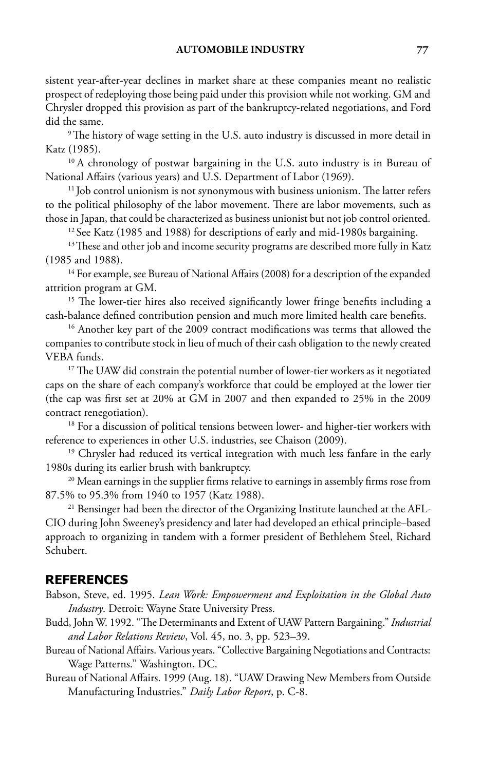sistent year-after-year declines in market share at these companies meant no realistic prospect of redeploying those being paid under this provision while not working. GM and Chrysler dropped this provision as part of the bankruptcy-related negotiations, and Ford did the same.

<sup>9</sup> The history of wage setting in the U.S. auto industry is discussed in more detail in Katz (1985).

<sup>10</sup> A chronology of postwar bargaining in the U.S. auto industry is in Bureau of National Affairs (various years) and U.S. Department of Labor (1969).

<sup>11</sup> Job control unionism is not synonymous with business unionism. The latter refers to the political philosophy of the labor movement. There are labor movements, such as those in Japan, that could be characterized as business unionist but not job control oriented.

<sup>12</sup> See Katz (1985 and 1988) for descriptions of early and mid-1980s bargaining.

<sup>13</sup> These and other job and income security programs are described more fully in Katz (1985 and 1988).<br><sup>14</sup> For example, see Bureau of National Affairs (2008) for a description of the expanded

attrition program at GM.

<sup>15</sup> The lower-tier hires also received significantly lower fringe benefits including a cash-balance defined contribution pension and much more limited health care benefits.

<sup>16</sup> Another key part of the 2009 contract modifications was terms that allowed the companies to contribute stock in lieu of much of their cash obligation to the newly created VEBA funds.

<sup>17</sup> The UAW did constrain the potential number of lower-tier workers as it negotiated caps on the share of each company's workforce that could be employed at the lower tier (the cap was first set at 20% at GM in 2007 and then expanded to 25% in the 2009 contract renegotiation).

<sup>18</sup> For a discussion of political tensions between lower- and higher-tier workers with reference to experiences in other U.S. industries, see Chaison (2009).

<sup>19</sup> Chrysler had reduced its vertical integration with much less fanfare in the early 1980s during its earlier brush with bankruptcy.

<sup>20</sup> Mean earnings in the supplier firms relative to earnings in assembly firms rose from 87.5% to 95.3% from 1940 to 1957 (Katz 1988).

<sup>21</sup> Bensinger had been the director of the Organizing Institute launched at the AFL-CIO during John Sweeney's presidency and later had developed an ethical principle–based approach to organizing in tandem with a former president of Bethlehem Steel, Richard Schubert.

## **References**

Babson, Steve, ed. 1995. *Lean Work: Empowerment and Exploitation in the Global Auto Industry*. Detroit: Wayne State University Press.

- Budd, John W. 1992. "The Determinants and Extent of UAW Pattern Bargaining." *Industrial and Labor Relations Review*, Vol. 45, no. 3, pp. 523–39.
- Bureau of National Affairs. Various years. "Collective Bargaining Negotiations and Contracts: Wage Patterns." Washington, DC.
- Bureau of National Affairs. 1999 (Aug. 18). "UAW Drawing New Members from Outside Manufacturing Industries." *Daily Labor Report*, p. C-8.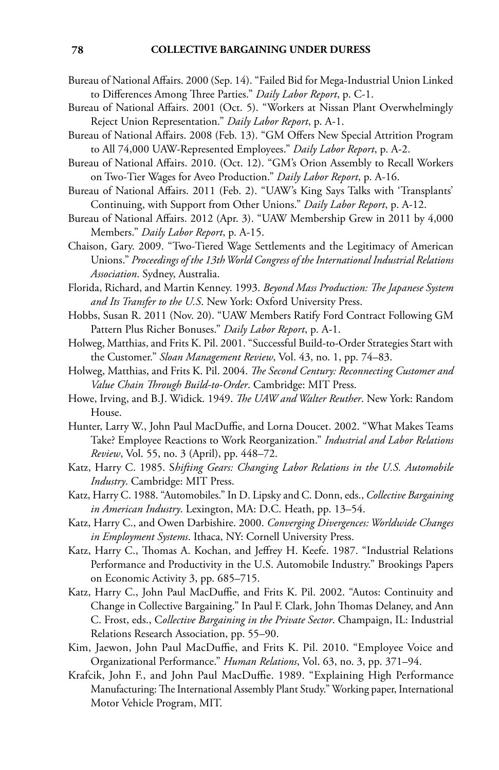- Bureau of National Affairs. 2000 (Sep. 14). "Failed Bid for Mega-Industrial Union Linked to Differences Among Three Parties." *Daily Labor Report*, p. C-1.
- Bureau of National Affairs. 2001 (Oct. 5). "Workers at Nissan Plant Overwhelmingly Reject Union Representation." *Daily Labor Report*, p. A-1.
- Bureau of National Affairs. 2008 (Feb. 13). "GM Offers New Special Attrition Program to All 74,000 UAW-Represented Employees." *Daily Labor Report*, p. A-2.
- Bureau of National Affairs. 2010. (Oct. 12). "GM's Orion Assembly to Recall Workers on Two-Tier Wages for Aveo Production." *Daily Labor Report*, p. A-16.
- Bureau of National Affairs. 2011 (Feb. 2). "UAW's King Says Talks with 'Transplants' Continuing, with Support from Other Unions." *Daily Labor Report*, p. A-12.
- Bureau of National Affairs. 2012 (Apr. 3). "UAW Membership Grew in 2011 by 4,000 Members." *Daily Labor Report*, p. A-15.
- Chaison, Gary. 2009. "Two-Tiered Wage Settlements and the Legitimacy of American Unions." *Proceedings of the 13th World Congress of the International Industrial Relations Association*. Sydney, Australia.
- Florida, Richard, and Martin Kenney. 1993. *Beyond Mass Production: The Japanese System and Its Transfer to the U.S*. New York: Oxford University Press.
- Hobbs, Susan R. 2011 (Nov. 20). "UAW Members Ratify Ford Contract Following GM Pattern Plus Richer Bonuses." *Daily Labor Report*, p. A-1.
- Holweg, Matthias, and Frits K. Pil. 2001. "Successful Build-to-Order Strategies Start with the Customer." *Sloan Management Review*, Vol. 43, no. 1, pp. 74–83.
- Holweg, Matthias, and Frits K. Pil. 2004. *The Second Century: Reconnecting Customer and Value Chain Through Build-to-Order*. Cambridge: MIT Press.
- Howe, Irving, and B.J. Widick. 1949. *The UAW and Walter Reuther*. New York: Random House.
- Hunter, Larry W., John Paul MacDuffie, and Lorna Doucet. 2002. "What Makes Teams Take? Employee Reactions to Work Reorganization." *Industrial and Labor Relations Review*, Vol. 55, no. 3 (April), pp. 448–72.
- Katz, Harry C. 1985. S*hifting Gears: Changing Labor Relations in the U.S. Automobile Industry*. Cambridge: MIT Press.
- Katz, Harry C. 1988. "Automobiles." In D. Lipsky and C. Donn, eds., *Collective Bargaining in American Industry*. Lexington, MA: D.C. Heath, pp. 13–54.
- Katz, Harry C., and Owen Darbishire. 2000. *Converging Divergences: Worldwide Changes in Employment Systems*. Ithaca, NY: Cornell University Press.
- Katz, Harry C., Thomas A. Kochan, and Jeffrey H. Keefe. 1987. "Industrial Relations Performance and Productivity in the U.S. Automobile Industry." Brookings Papers on Economic Activity 3, pp. 685–715.
- Katz, Harry C., John Paul MacDuffie, and Frits K. Pil. 2002. "Autos: Continuity and Change in Collective Bargaining." In Paul F. Clark, John Thomas Delaney, and Ann C. Frost, eds., C*ollective Bargaining in the Private Sector*. Champaign, IL: Industrial Relations Research Association, pp. 55–90.
- Kim, Jaewon, John Paul MacDuffie, and Frits K. Pil. 2010. "Employee Voice and Organizational Performance." *Human Relations*, Vol. 63, no. 3, pp. 371–94.
- Krafcik, John F., and John Paul MacDuffie. 1989. "Explaining High Performance Manufacturing: The International Assembly Plant Study." Working paper, International Motor Vehicle Program, MIT.